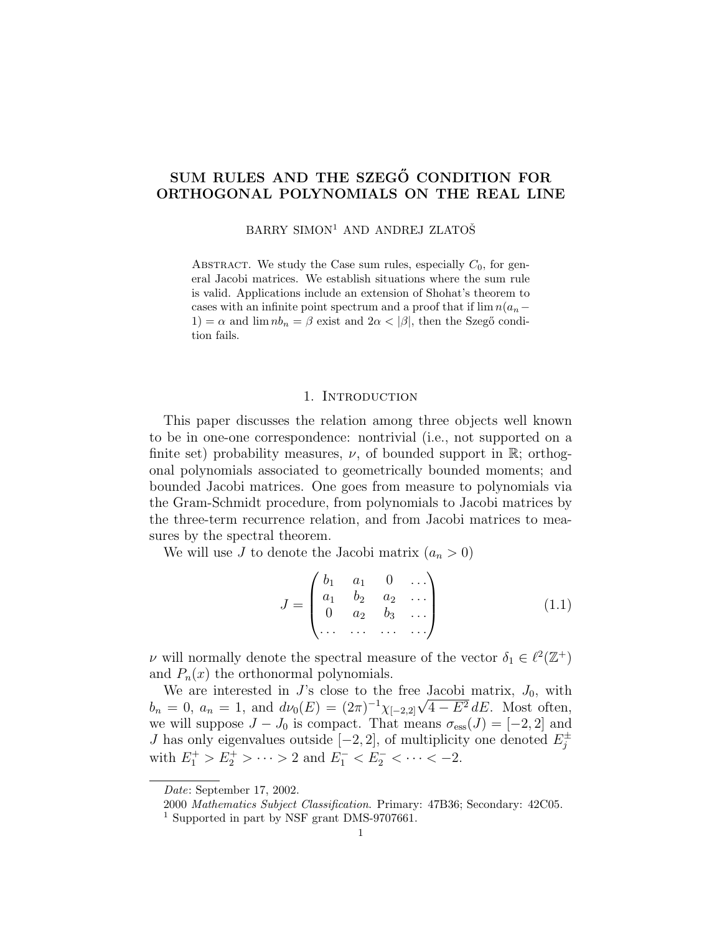# SUM RULES AND THE SZEGŐ CONDITION FOR ORTHOGONAL POLYNOMIALS ON THE REAL LINE

BARRY SIMON<sup>1</sup> AND ANDREJ ZLATOŠ

ABSTRACT. We study the Case sum rules, especially  $C_0$ , for general Jacobi matrices. We establish situations where the sum rule is valid. Applications include an extension of Shohat's theorem to cases with an infinite point spectrum and a proof that if  $\lim n(a_n-$ 1) =  $\alpha$  and  $\lim_{n \to \infty} nb_n = \beta$  exist and  $2\alpha < |\beta|$ , then the Szegő condition fails.

### 1. INTRODUCTION

This paper discusses the relation among three objects well known to be in one-one correspondence: nontrivial (i.e., not supported on a finite set) probability measures,  $\nu$ , of bounded support in R; orthogonal polynomials associated to geometrically bounded moments; and bounded Jacobi matrices. One goes from measure to polynomials via the Gram-Schmidt procedure, from polynomials to Jacobi matrices by the three-term recurrence relation, and from Jacobi matrices to measures by the spectral theorem.

We will use J to denote the Jacobi matrix  $(a_n > 0)$ 

$$
J = \begin{pmatrix} b_1 & a_1 & 0 & \dots \\ a_1 & b_2 & a_2 & \dots \\ 0 & a_2 & b_3 & \dots \\ \dots & \dots & \dots & \dots \end{pmatrix}
$$
 (1.1)

*ν* will normally denote the spectral measure of the vector  $δ₁ ∈ ℓ²(ℤ⁺)$ and  $P_n(x)$  the orthonormal polynomials.

We are interested in  $J$ 's close to the free Jacobi matrix,  $J_0$ , with  $b_n = 0, a_n = 1$ , and  $d\nu_0(E) = (2\pi)^{-1} \chi_{[-2,2]} \sqrt{4 - E^2} dE$ . Most often, we will suppose  $J - J_0$  is compact. That means  $\sigma_{\text{ess}}(J) = [-2, 2]$  and J has only eigenvalues outside  $[-2, 2]$ , of multiplicity one denoted  $E_i^{\pm}$ j with  $E_1^+ > E_2^+ > \cdots > 2$  and  $E_1^- < E_2^- < \cdots < -2$ .

Date: September 17, 2002.

<sup>2000</sup> Mathematics Subject Classification. Primary: 47B36; Secondary: 42C05.

<sup>&</sup>lt;sup>1</sup> Supported in part by NSF grant DMS-9707661.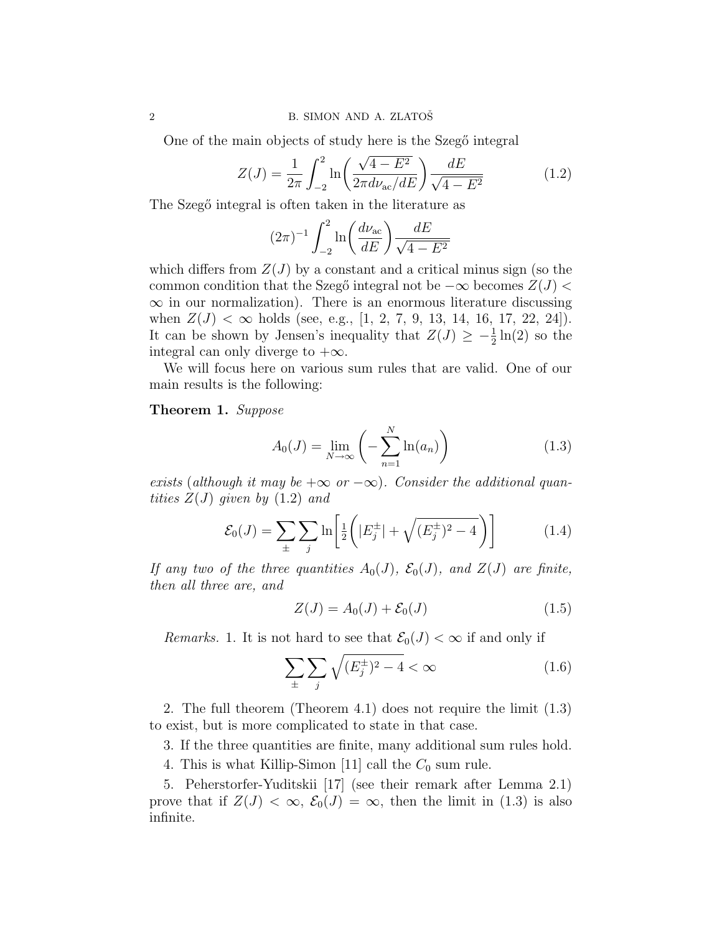One of the main objects of study here is the Szegő integral

$$
Z(J) = \frac{1}{2\pi} \int_{-2}^{2} \ln\left(\frac{\sqrt{4 - E^2}}{2\pi d\nu_{ac}/dE}\right) \frac{dE}{\sqrt{4 - E^2}}
$$
(1.2)

The Szegő integral is often taken in the literature as

$$
(2\pi)^{-1} \int_{-2}^{2} \ln\left(\frac{d\nu_{\rm ac}}{dE}\right) \frac{dE}{\sqrt{4 - E^2}}
$$

which differs from  $Z(J)$  by a constant and a critical minus sign (so the common condition that the Szegő integral not be  $-\infty$  becomes  $Z(J)$  $\infty$  in our normalization). There is an enormous literature discussing when  $Z(J) < \infty$  holds (see, e.g., [1, 2, 7, 9, 13, 14, 16, 17, 22, 24]). It can be shown by Jensen's inequality that  $Z(J) \geq -\frac{1}{2} \ln(2)$  so the integral can only diverge to  $+\infty$ .

We will focus here on various sum rules that are valid. One of our main results is the following:

Theorem 1. Suppose

$$
A_0(J) = \lim_{N \to \infty} \left( -\sum_{n=1}^{N} \ln(a_n) \right) \tag{1.3}
$$

exists (although it may be  $+\infty$  or  $-\infty$ ). Consider the additional quantities  $Z(J)$  given by  $(1.2)$  and

$$
\mathcal{E}_0(J) = \sum_{\pm} \sum_j \ln \left[ \frac{1}{2} \left( |E_j^{\pm}| + \sqrt{(E_j^{\pm})^2 - 4} \right) \right]
$$
(1.4)

If any two of the three quantities  $A_0(J)$ ,  $\mathcal{E}_0(J)$ , and  $Z(J)$  are finite, then all three are, and

$$
Z(J) = A_0(J) + \mathcal{E}_0(J) \tag{1.5}
$$

Remarks. 1. It is not hard to see that  $\mathcal{E}_0(J) < \infty$  if and only if

$$
\sum_{\pm} \sum_{j} \sqrt{(E_j^{\pm})^2 - 4} < \infty \tag{1.6}
$$

2. The full theorem (Theorem 4.1) does not require the limit (1.3) to exist, but is more complicated to state in that case.

3. If the three quantities are finite, many additional sum rules hold.

4. This is what Killip-Simon [11] call the  $C_0$  sum rule.

5. Peherstorfer-Yuditskii [17] (see their remark after Lemma 2.1) prove that if  $Z(J) < \infty$ ,  $\mathcal{E}_0(J) = \infty$ , then the limit in (1.3) is also infinite.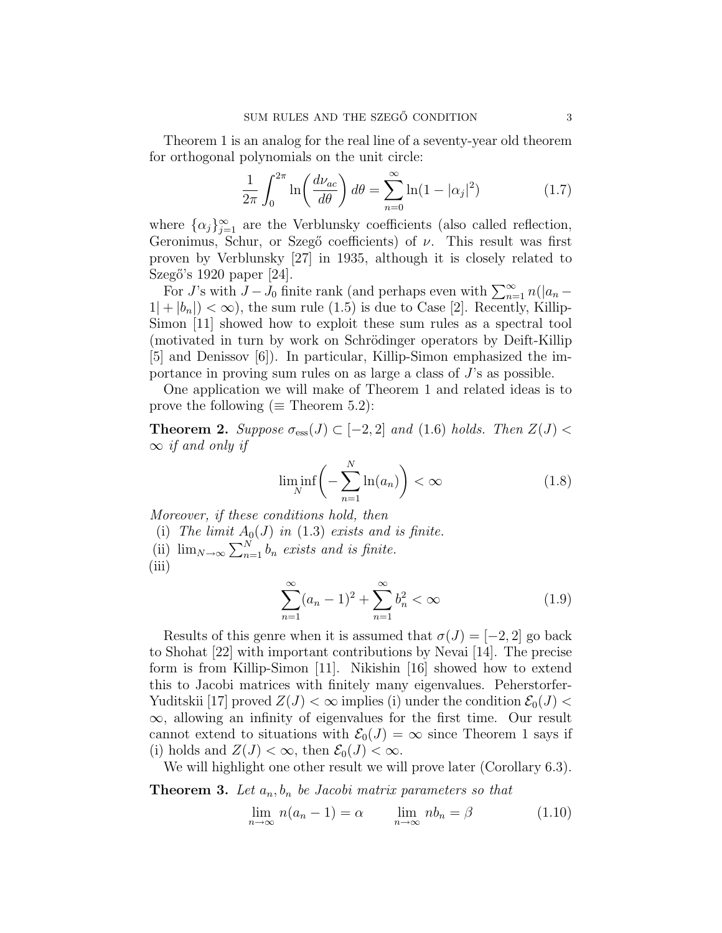Theorem 1 is an analog for the real line of a seventy-year old theorem for orthogonal polynomials on the unit circle:

$$
\frac{1}{2\pi} \int_0^{2\pi} \ln\left(\frac{d\nu_{ac}}{d\theta}\right) d\theta = \sum_{n=0}^\infty \ln(1 - |\alpha_j|^2)
$$
 (1.7)

where  $\{\alpha_j\}_{j=1}^{\infty}$  are the Verblunsky coefficients (also called reflection, Geronimus, Schur, or Szegő coefficients) of  $\nu$ . This result was first proven by Verblunsky [27] in 1935, although it is closely related to Szegő's 1920 paper [24].

ego s 1920 paper [24].<br>For J's with  $J - J_0$  finite rank (and perhaps even with  $\sum_{n=1}^{\infty} n(|a_n 1|+|b_n|<\infty$ , the sum rule (1.5) is due to Case [2]. Recently, Killip-Simon [11] showed how to exploit these sum rules as a spectral tool (motivated in turn by work on Schrödinger operators by Deift-Killip [5] and Denissov [6]). In particular, Killip-Simon emphasized the importance in proving sum rules on as large a class of J's as possible.

One application we will make of Theorem 1 and related ideas is to prove the following ( $\equiv$  Theorem 5.2):

**Theorem 2.** Suppose  $\sigma_{\text{ess}}(J) \subset [-2, 2]$  and (1.6) holds. Then  $Z(J)$  $\infty$  if and only if

$$
\liminf_{N} \left( -\sum_{n=1}^{N} \ln(a_n) \right) < \infty \tag{1.8}
$$

Moreover, if these conditions hold, then

(i) The limit  $A_0(J)$  in (1.3) exists and is finite. (i) The time  $A_0(J)$  in (1.5) exists and is finite.<br>(ii)  $\lim_{N\to\infty}\sum_{n=1}^{N}b_n$  exists and is finite. (iii)

$$
\sum_{n=1}^{\infty} (a_n - 1)^2 + \sum_{n=1}^{\infty} b_n^2 < \infty \tag{1.9}
$$

Results of this genre when it is assumed that  $\sigma(J) = [-2, 2]$  go back to Shohat [22] with important contributions by Nevai [14]. The precise form is from Killip-Simon [11]. Nikishin [16] showed how to extend this to Jacobi matrices with finitely many eigenvalues. Peherstorfer-Yuditskii [17] proved  $Z(J) < \infty$  implies (i) under the condition  $\mathcal{E}_0(J) <$ ∞, allowing an infinity of eigenvalues for the first time. Our result cannot extend to situations with  $\mathcal{E}_0(J) = \infty$  since Theorem 1 says if (i) holds and  $Z(J) < \infty$ , then  $\mathcal{E}_0(J) < \infty$ .

We will highlight one other result we will prove later (Corollary 6.3).

**Theorem 3.** Let  $a_n, b_n$  be Jacobi matrix parameters so that

$$
\lim_{n \to \infty} n(a_n - 1) = \alpha \qquad \lim_{n \to \infty} nb_n = \beta \tag{1.10}
$$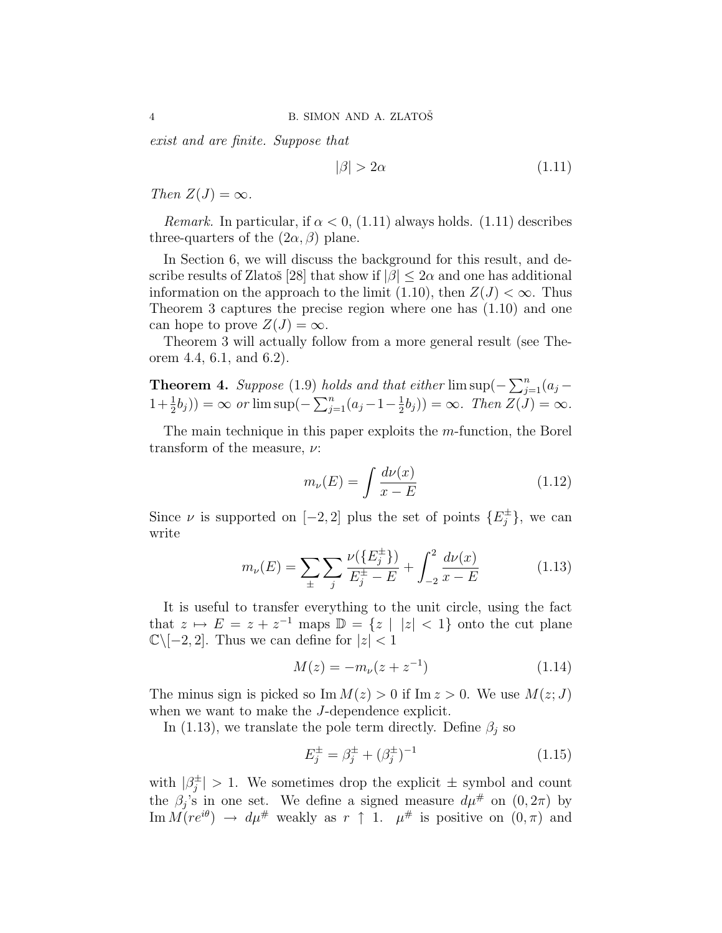exist and are finite. Suppose that

$$
|\beta| > 2\alpha \tag{1.11}
$$

Then  $Z(J) = \infty$ .

*Remark.* In particular, if  $\alpha < 0$ , (1.11) always holds. (1.11) describes three-quarters of the  $(2\alpha, \beta)$  plane.

In Section 6, we will discuss the background for this result, and describe results of Zlatoš [28] that show if  $|\beta| \leq 2\alpha$  and one has additional information on the approach to the limit (1.10), then  $Z(J) < \infty$ . Thus Theorem 3 captures the precise region where one has (1.10) and one can hope to prove  $Z(J) = \infty$ .

Theorem 3 will actually follow from a more general result (see Theorem 4.4, 6.1, and 6.2).

**Theorem 4.** Suppose (1.9) holds and that either  $\limsup(-\sum_{i=1}^{n}$  $\sum_{j=1}^{n} (a_j -$ **1**+ $\frac{1}{2}b_j$ )) =  $\infty$  or  $\limsup(-\sum_{j=1}^{n}$  $\sum_{j=1}^{n} (a_j - 1 - \frac{1}{2})$  $(\frac{1}{2}b_j)) = \infty$ . Then  $Z(J) = \infty$ .

The main technique in this paper exploits the m-function, the Borel transform of the measure,  $\nu$ :

$$
m_{\nu}(E) = \int \frac{d\nu(x)}{x - E} \tag{1.12}
$$

Since  $\nu$  is supported on [-2, 2] plus the set of points  $\{E_i^{\pm}$  $\{e^{i\pm}\},$  we can write

$$
m_{\nu}(E) = \sum_{\pm} \sum_{j} \frac{\nu(\{E_{j}^{\pm}\})}{E_{j}^{\pm} - E} + \int_{-2}^{2} \frac{d\nu(x)}{x - E}
$$
(1.13)

It is useful to transfer everything to the unit circle, using the fact that  $z \mapsto E = z + z^{-1}$  maps  $\mathbb{D} = \{z \mid |z| < 1\}$  onto the cut plane  $\mathbb{C}\setminus[-2,2].$  Thus we can define for  $|z|<1$ 

$$
M(z) = -m_{\nu}(z + z^{-1})
$$
\n(1.14)

The minus sign is picked so Im  $M(z) > 0$  if Im  $z > 0$ . We use  $M(z; J)$ when we want to make the *J*-dependence explicit.

In (1.13), we translate the pole term directly. Define  $\beta_j$  so

$$
E_j^{\pm} = \beta_j^{\pm} + (\beta_j^{\pm})^{-1} \tag{1.15}
$$

with  $|\beta_i^{\pm}|$  $_j^{\pm}$  > 1. We sometimes drop the explicit  $\pm$  symbol and count the  $\beta_j$ 's in one set. We define a signed measure  $d\mu^{\#}$  on  $(0, 2\pi)$  by Im  $M(re^{i\theta}) \to d\mu^{\#}$  weakly as  $r \uparrow 1$ .  $\mu^{\#}$  is positive on  $(0, \pi)$  and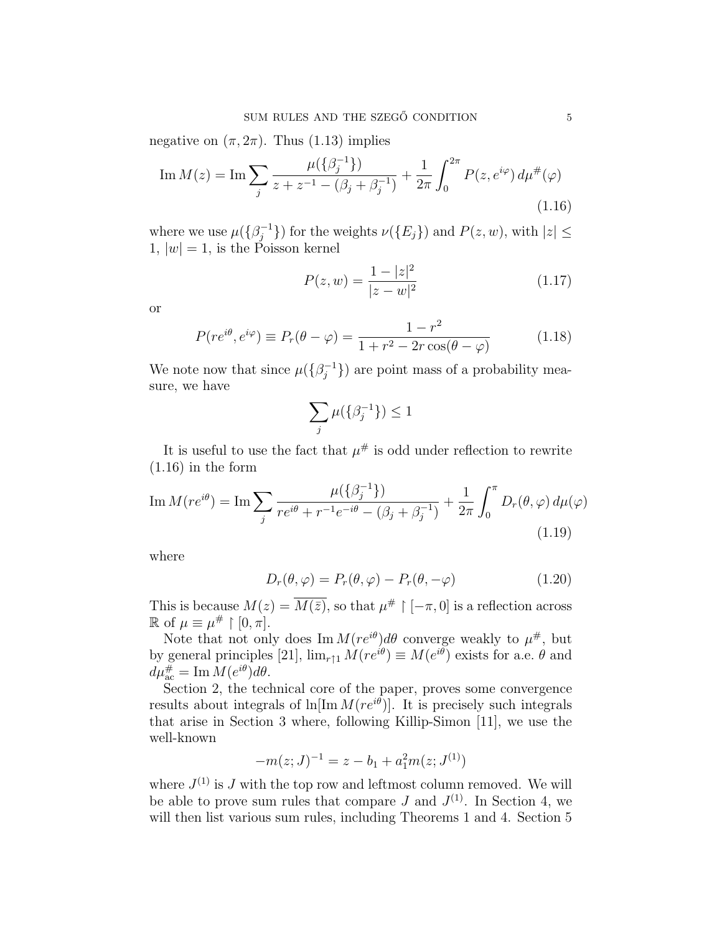negative on  $(\pi, 2\pi)$ . Thus (1.13) implies

Im 
$$
M(z) = \text{Im} \sum_{j} \frac{\mu(\{\beta_j^{-1}\})}{z + z^{-1} - (\beta_j + \beta_j^{-1})} + \frac{1}{2\pi} \int_0^{2\pi} P(z, e^{i\varphi}) d\mu^{\#}(\varphi)
$$
 (1.16)

where we use  $\mu(\{\beta_i^{-1}\})$  $\{y_j^{-1}\}\$  for the weights  $\nu(\lbrace E_j \rbrace)$  and  $P(z, w)$ , with  $|z| \leq$ 1,  $|w|=1$ , is the Poisson kernel

$$
P(z, w) = \frac{1 - |z|^2}{|z - w|^2}
$$
 (1.17)

or

$$
P(re^{i\theta}, e^{i\varphi}) \equiv P_r(\theta - \varphi) = \frac{1 - r^2}{1 + r^2 - 2r\cos(\theta - \varphi)}
$$
(1.18)

We note now that since  $\mu(\{\beta_i^{-1}\})$  $j^{-1}$ }) are point mass of a probability measure, we have

$$
\sum_j \mu(\{\beta_j^{-1}\}) \le 1
$$

It is useful to use the fact that  $\mu^{\#}$  is odd under reflection to rewrite  $(1.16)$  in the form

Im 
$$
M(re^{i\theta}) = \text{Im} \sum_{j} \frac{\mu(\{\beta_j^{-1}\})}{re^{i\theta} + r^{-1}e^{-i\theta} - (\beta_j + \beta_j^{-1})} + \frac{1}{2\pi} \int_0^{\pi} D_r(\theta, \varphi) d\mu(\varphi)
$$
  
(1.19)

where

$$
D_r(\theta, \varphi) = P_r(\theta, \varphi) - P_r(\theta, -\varphi)
$$
\n(1.20)

This is because  $M(z) = \overline{M(\bar{z})}$ , so that  $\mu^{\#} \restriction [-\pi, 0]$  is a reflection across  $\mathbb{R}$  of  $\mu \equiv \mu^{\#} \restriction [0, \pi]$ .

Note that not only does  $\text{Im } M(re^{i\theta})d\theta$  converge weakly to  $\mu^{\#}$ , but by general principles [21],  $\lim_{r \uparrow 1} M(re^{i\theta}) \equiv M(e^{i\theta})$  exists for a.e.  $\theta$  and  $d\mu_{\mathop{\mathrm{ac}}}^{\#} = \mathrm{Im} M(e^{i\theta}) d\theta.$ 

Section 2, the technical core of the paper, proves some convergence results about integrals of  $\ln[\text{Im} M(re^{i\theta})]$ . It is precisely such integrals that arise in Section 3 where, following Killip-Simon [11], we use the well-known

$$
-m(z;J)^{-1} = z - b_1 + a_1^2 m(z;J^{(1)})
$$

where  $J^{(1)}$  is J with the top row and leftmost column removed. We will be able to prove sum rules that compare J and  $J^{(1)}$ . In Section 4, we will then list various sum rules, including Theorems 1 and 4. Section 5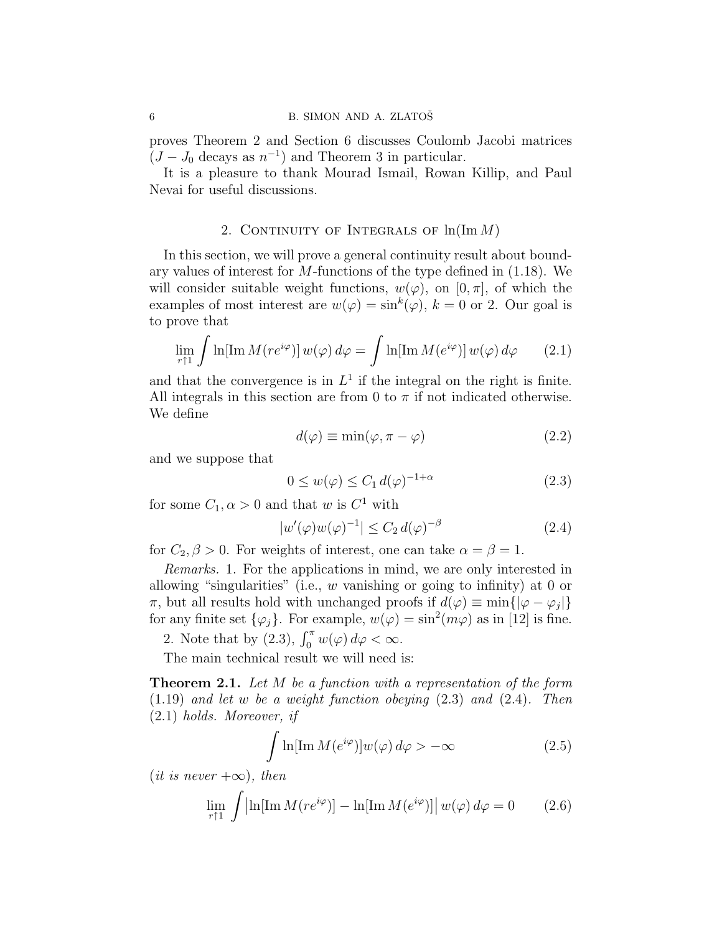proves Theorem 2 and Section 6 discusses Coulomb Jacobi matrices  $(J-J_0 \text{ decays as } n^{-1})$  and Theorem 3 in particular.

It is a pleasure to thank Mourad Ismail, Rowan Killip, and Paul Nevai for useful discussions.

### 2. CONTINUITY OF INTEGRALS OF  $\ln(\text{Im }M)$

In this section, we will prove a general continuity result about boundary values of interest for M-functions of the type defined in (1.18). We will consider suitable weight functions,  $w(\varphi)$ , on  $[0, \pi]$ , of which the examples of most interest are  $w(\varphi) = \sin^k(\varphi)$ ,  $k = 0$  or 2. Our goal is to prove that Z

$$
\lim_{r \uparrow 1} \int \ln[\mathrm{Im}\,M(re^{i\varphi})] \, w(\varphi) \, d\varphi = \int \ln[\mathrm{Im}\,M(e^{i\varphi})] \, w(\varphi) \, d\varphi \qquad (2.1)
$$

and that the convergence is in  $L^1$  if the integral on the right is finite. All integrals in this section are from 0 to  $\pi$  if not indicated otherwise. We define

$$
d(\varphi) \equiv \min(\varphi, \pi - \varphi) \tag{2.2}
$$

and we suppose that

$$
0 \le w(\varphi) \le C_1 d(\varphi)^{-1+\alpha} \tag{2.3}
$$

for some  $C_1, \alpha > 0$  and that w is  $C^1$  with

$$
|w'(\varphi)w(\varphi)^{-1}| \le C_2 d(\varphi)^{-\beta} \tag{2.4}
$$

for  $C_2$ ,  $\beta > 0$ . For weights of interest, one can take  $\alpha = \beta = 1$ .

Remarks. 1. For the applications in mind, we are only interested in allowing "singularities" (i.e., w vanishing or going to infinity) at 0 or  $\pi$ , but all results hold with unchanged proofs if  $d(\varphi) \equiv \min\{|\varphi - \varphi_j|\}$ for any finite set  $\{\varphi_j\}$ . For example,  $w(\varphi) = \sin^2(m\varphi)$  as in [12] is fine.

2. Note that by (2.3),  $\int_0^{\pi} w(\varphi) d\varphi < \infty$ .

The main technical result we will need is:

**Theorem 2.1.** Let M be a function with a representation of the form (1.19) and let w be a weight function obeying (2.3) and (2.4). Then (2.1) holds. Moreover, if

$$
\int \ln[\mathrm{Im}\,M(e^{i\varphi})]w(\varphi)\,d\varphi > -\infty \tag{2.5}
$$

 $(it\ is\ never+\infty),\ then$ Z

$$
\lim_{r \uparrow 1} \int \left| \ln[\operatorname{Im} M(re^{i\varphi})] - \ln[\operatorname{Im} M(e^{i\varphi})] \right| w(\varphi) d\varphi = 0 \qquad (2.6)
$$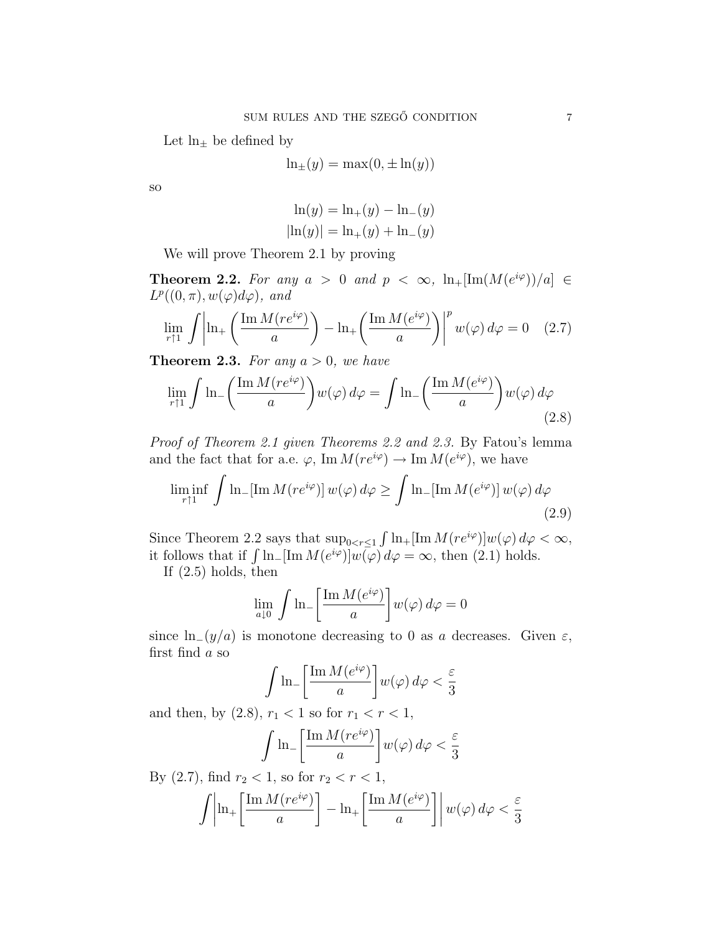Let  $\ln_{\pm}$  be defined by

$$
\ln_{\pm}(y) = \max(0, \pm \ln(y))
$$

so

$$
\ln(y) = \ln_+(y) - \ln_-(y) |\ln(y)| = \ln_+(y) + \ln_-(y)
$$

We will prove Theorem 2.1 by proving

**Theorem 2.2.** For any  $a > 0$  and  $p < \infty$ ,  $\ln_{+}[\text{Im}(M(e^{i\varphi}))/a] \in$  $L^p((0,\pi),w(\varphi)d\varphi)$ , and

$$
\lim_{r \uparrow 1} \int \left| \ln_+ \left( \frac{\operatorname{Im} M(re^{i\varphi})}{a} \right) - \ln_+ \left( \frac{\operatorname{Im} M(e^{i\varphi})}{a} \right) \right|^p w(\varphi) d\varphi = 0 \quad (2.7)
$$

**Theorem 2.3.** For any  $a > 0$ , we have

$$
\lim_{r \uparrow 1} \int \ln \left( \frac{\operatorname{Im} M(re^{i\varphi})}{a} \right) w(\varphi) d\varphi = \int \ln \left( \frac{\operatorname{Im} M(e^{i\varphi})}{a} \right) w(\varphi) d\varphi
$$
\n(2.8)

Proof of Theorem 2.1 given Theorems 2.2 and 2.3. By Fatou's lemma and the fact that for a.e.  $\varphi$ , Im  $M(re^{i\varphi}) \to \text{Im } M(e^{i\varphi})$ , we have  $\overline{C}$ 

$$
\liminf_{r \uparrow 1} \int \ln \left[ \operatorname{Im} M(re^{i\varphi}) \right] w(\varphi) d\varphi \ge \int \ln \left[ \operatorname{Im} M(e^{i\varphi}) \right] w(\varphi) d\varphi
$$
\n(2.9)

Since Theorem 2.2 says that  $\sup_{0 \le r \le 1}$ R  $\ln_{+}[\text{Im }M(re^{i\varphi})]w(\varphi)\,d\varphi<\infty,$ since Theorem 2.2 says that  $\sup_{0 \le r \le 1} \int \ln_1[\ln M(e^{i\varphi})] w(\varphi) d\varphi = \infty$ , then (2.1) holds.

If (2.5) holds, then

$$
\lim_{a \downarrow 0} \int \ln \left[ \frac{\operatorname{Im} M(e^{i\varphi})}{a} \right] w(\varphi) d\varphi = 0
$$

since  $ln_{-}(y/a)$  is monotone decreasing to 0 as a decreases. Given  $\varepsilon$ , first find a so

$$
\int \ln \left[ \frac{\operatorname{Im} M(e^{i\varphi})}{a} \right] w(\varphi) d\varphi < \frac{\varepsilon}{3}
$$

and then, by  $(2.8)$ ,  $r_1 < 1$  so for  $r_1 < r < 1$ ,

$$
\int \ln \left[ \frac{\operatorname{Im} M(re^{i\varphi})}{a} \right] w(\varphi) d\varphi < \frac{\varepsilon}{3}
$$

By  $(2.7)$ , find  $r_2 < 1$ , so for  $r_2 < r < 1$ ,

$$
\int \left| \ln_{+} \left[ \frac{\operatorname{Im} M(re^{i\varphi})}{a} \right] - \ln_{+} \left[ \frac{\operatorname{Im} M(e^{i\varphi})}{a} \right] \right| w(\varphi) d\varphi < \frac{\varepsilon}{3}
$$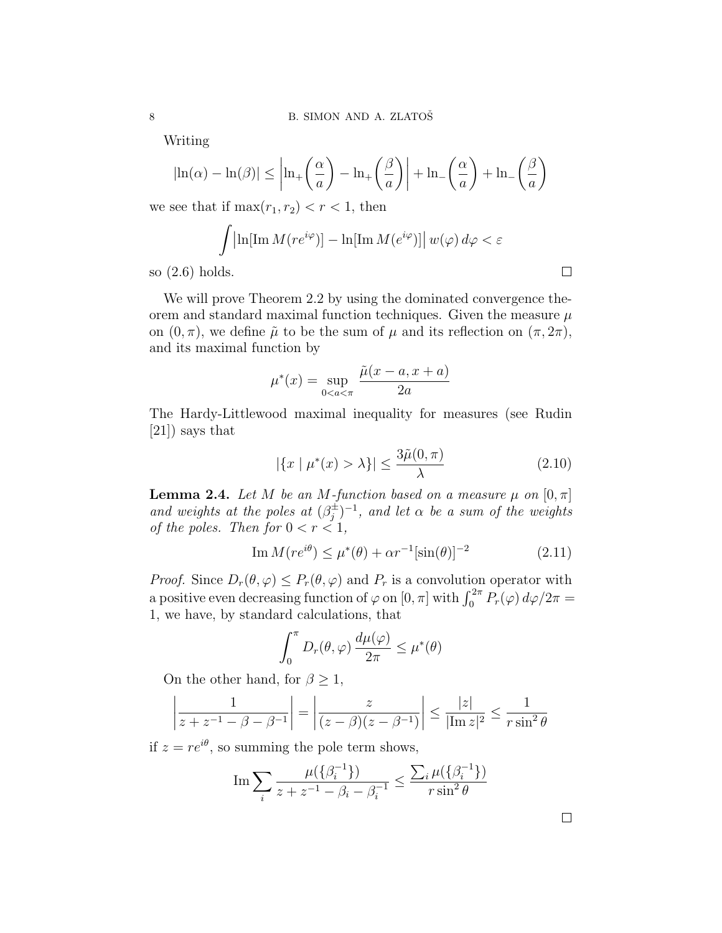Writing

$$
|\ln(\alpha) - \ln(\beta)| \le \left| \ln_+\left(\frac{\alpha}{a}\right) - \ln_+\left(\frac{\beta}{a}\right) \right| + \ln_-\left(\frac{\alpha}{a}\right) + \ln_-\left(\frac{\beta}{a}\right)
$$

we see that if  $\max(r_1, r_2) < r < 1$ , then

$$
\int \left| \ln[\mathrm{Im}\,M(re^{i\varphi})] - \ln[\mathrm{Im}\,M(e^{i\varphi})] \right| w(\varphi) d\varphi < \varepsilon
$$

so (2.6) holds.

We will prove Theorem 2.2 by using the dominated convergence theorem and standard maximal function techniques. Given the measure  $\mu$ on  $(0, \pi)$ , we define  $\tilde{\mu}$  to be the sum of  $\mu$  and its reflection on  $(\pi, 2\pi)$ , and its maximal function by

$$
\mu^*(x) = \sup_{0 < a < \pi} \frac{\tilde{\mu}(x - a, x + a)}{2a}
$$

The Hardy-Littlewood maximal inequality for measures (see Rudin [21]) says that

$$
|\{x \mid \mu^*(x) > \lambda\}| \le \frac{3\tilde{\mu}(0,\pi)}{\lambda} \tag{2.10}
$$

**Lemma 2.4.** Let M be an M-function based on a measure  $\mu$  on  $[0, \pi]$ and weights at the poles at  $(\beta_i^{\pm})$  $j_j^{\pm}$  $)^{-1}$ , and let  $\alpha$  be a sum of the weights of the poles. Then for  $0 < r < 1$ ,

$$
\operatorname{Im} M(re^{i\theta}) \le \mu^*(\theta) + \alpha r^{-1}[\sin(\theta)]^{-2} \tag{2.11}
$$

*Proof.* Since  $D_r(\theta, \varphi) \leq P_r(\theta, \varphi)$  and  $P_r$  is a convolution operator with *Froof.* Since  $D_r(\sigma, \varphi) \leq F_r(\sigma, \varphi)$  and  $F_r$  is a convolution operator with a positive even decreasing function of  $\varphi$  on  $[0, \pi]$  with  $\int_0^{2\pi} P_r(\varphi) d\varphi/2\pi =$ 1, we have, by standard calculations, that

$$
\int_0^{\pi} D_r(\theta, \varphi) \, \frac{d\mu(\varphi)}{2\pi} \leq \mu^*(\theta)
$$

On the other hand, for  $\beta \geq 1$ ,

$$
\left| \frac{1}{z + z^{-1} - \beta - \beta^{-1}} \right| = \left| \frac{z}{(z - \beta)(z - \beta^{-1})} \right| \le \frac{|z|}{|\text{Im } z|^2} \le \frac{1}{r \sin^2 \theta}
$$

if  $z = re^{i\theta}$ , so summing the pole term shows,

Im 
$$
\sum_{i} \frac{\mu(\{\beta_i^{-1}\})}{z + z^{-1} - \beta_i - \beta_i^{-1}} \le \frac{\sum_{i} \mu(\{\beta_i^{-1}\})}{r \sin^2 \theta}
$$

 $\Box$ 

 $\Box$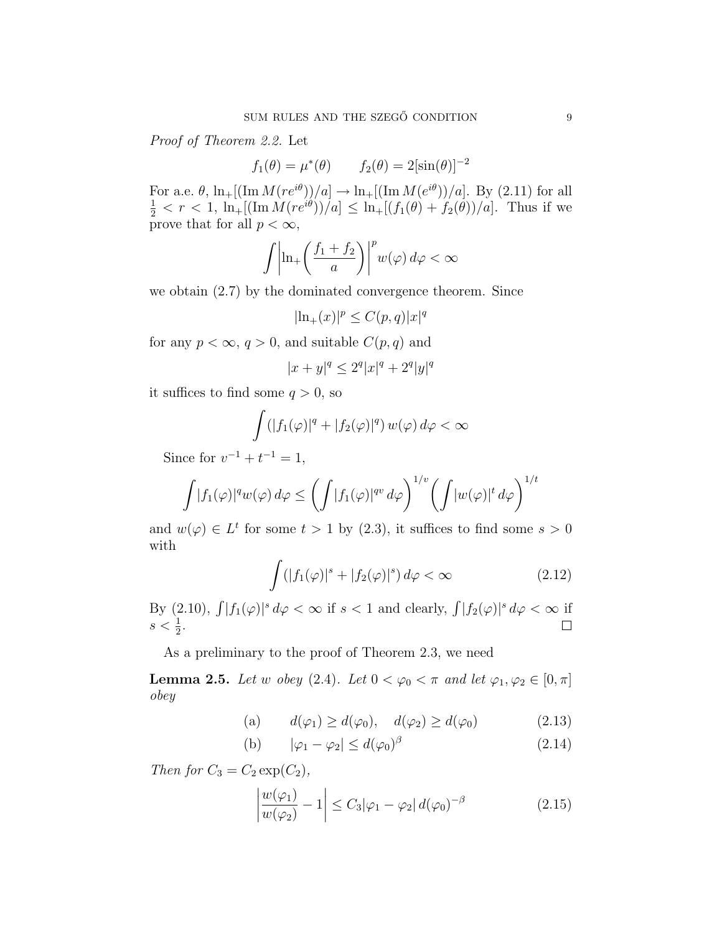Proof of Theorem 2.2. Let

$$
f_1(\theta) = \mu^*(\theta)
$$
  $f_2(\theta) = 2[\sin(\theta)]^{-2}$ 

For a.e.  $\theta$ ,  $\ln_{+}[(\text{Im }M(re^{i\theta}))/a] \to \ln_{+}[(\text{Im }M(e^{i\theta}))/a]$ . By (2.11) for all  $\frac{1}{2} < r < 1$ ,  $\ln_+[(\text{Im }M(re^{i\theta}))/a] \leq \ln_+[(f_1(\theta) + f_2(\theta))/a]$ . Thus if we prove that for all  $p < \infty$ ,

$$
\int \left| \ln_+\left(\frac{f_1+f_2}{a}\right)\right|^p w(\varphi) d\varphi < \infty
$$

we obtain (2.7) by the dominated convergence theorem. Since

$$
|\ln_+(x)|^p \le C(p,q)|x|^q
$$

for any  $p < \infty$ ,  $q > 0$ , and suitable  $C(p, q)$  and

$$
|x+y|^q \le 2^q |x|^q + 2^q |y|^q
$$

it suffices to find some  $q > 0$ , so

$$
\int (|f_1(\varphi)|^q + |f_2(\varphi)|^q) w(\varphi) d\varphi < \infty
$$

Since for  $v^{-1} + t^{-1} = 1$ ,

$$
\int |f_1(\varphi)|^q w(\varphi) d\varphi \le \left(\int |f_1(\varphi)|^{q} d\varphi\right)^{1/v} \left(\int |w(\varphi)|^t d\varphi\right)^{1/t}
$$

and  $w(\varphi) \in L^t$  for some  $t > 1$  by (2.3), it suffices to find some  $s > 0$ with

$$
\int (|f_1(\varphi)|^s + |f_2(\varphi)|^s) d\varphi < \infty \tag{2.12}
$$

By (2.10),  $\int |f_1(\varphi)|^s d\varphi < \infty$  if  $s < 1$  and clearly,  $\int |f_2(\varphi)|^s d\varphi < \infty$  if  $s < \frac{1}{2}$ .  $\Box$ 

As a preliminary to the proof of Theorem 2.3, we need

**Lemma 2.5.** Let w obey (2.4). Let  $0 < \varphi_0 < \pi$  and let  $\varphi_1, \varphi_2 \in [0, \pi]$ obey

(a) 
$$
d(\varphi_1) \ge d(\varphi_0)
$$
,  $d(\varphi_2) \ge d(\varphi_0)$  (2.13)

(b) 
$$
|\varphi_1 - \varphi_2| \le d(\varphi_0)^\beta
$$
 (2.14)

Then for  $C_3 = C_2 \exp(C_2)$ ,

$$
\left|\frac{w(\varphi_1)}{w(\varphi_2)}-1\right| \le C_3|\varphi_1-\varphi_2|d(\varphi_0)^{-\beta} \tag{2.15}
$$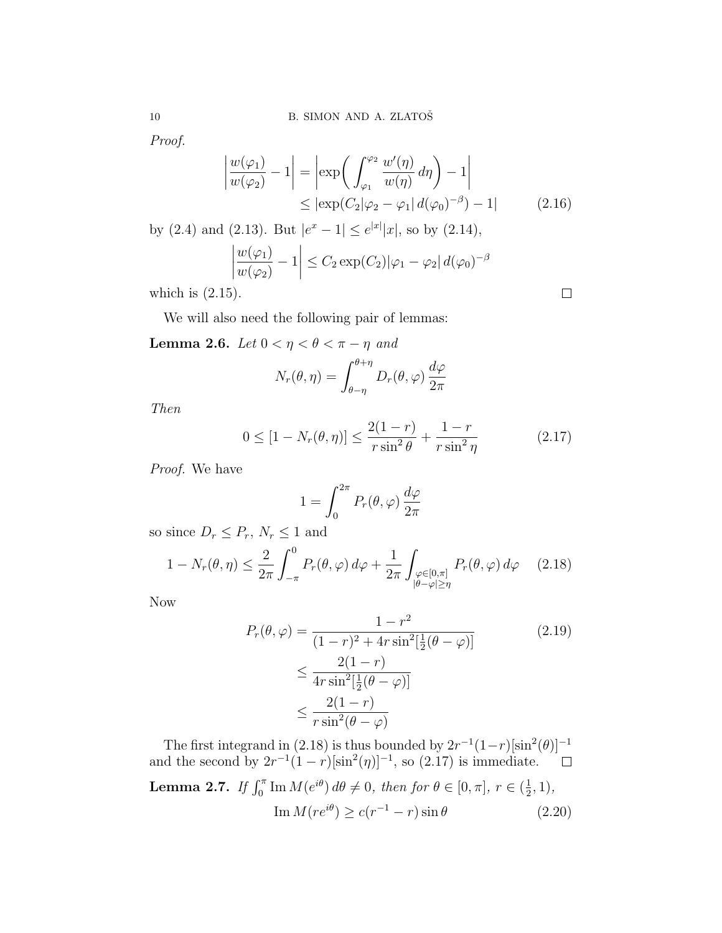Proof.

$$
\left| \frac{w(\varphi_1)}{w(\varphi_2)} - 1 \right| = \left| \exp\left( \int_{\varphi_1}^{\varphi_2} \frac{w'(\eta)}{w(\eta)} d\eta \right) - 1 \right|
$$
  
\n
$$
\leq \left| \exp\left( C_2 | \varphi_2 - \varphi_1 \right| d(\varphi_0)^{-\beta}) - 1 \right| \tag{2.16}
$$

by (2.4) and (2.13). But  $|e^x - 1| \le e^{|x|} |x|$ , so by (2.14), \_\_<br>]

$$
\left|\frac{w(\varphi_1)}{w(\varphi_2)}-1\right| \le C_2 \exp(C_2)|\varphi_1 - \varphi_2| d(\varphi_0)^{-\beta}
$$

which is  $(2.15)$ .

We will also need the following pair of lemmas:

Lemma 2.6. Let  $0 < \eta < \theta < \pi - \eta$  and

$$
N_r(\theta, \eta) = \int_{\theta - \eta}^{\theta + \eta} D_r(\theta, \varphi) \frac{d\varphi}{2\pi}
$$

Then

$$
0 \le [1 - N_r(\theta, \eta)] \le \frac{2(1 - r)}{r \sin^2 \theta} + \frac{1 - r}{r \sin^2 \eta}
$$
 (2.17)

 $\Box$ 

Proof. We have

$$
1 = \int_0^{2\pi} P_r(\theta, \varphi) \frac{d\varphi}{2\pi}
$$

so since  $D_r \leq P_r$ ,  $N_r \leq 1$  and

$$
1 - N_r(\theta, \eta) \le \frac{2}{2\pi} \int_{-\pi}^0 P_r(\theta, \varphi) d\varphi + \frac{1}{2\pi} \int_{\substack{\varphi \in [0, \pi] \\ |\theta - \varphi| \ge \eta}} P_r(\theta, \varphi) d\varphi \qquad (2.18)
$$

Now

$$
P_r(\theta, \varphi) = \frac{1 - r^2}{(1 - r)^2 + 4r \sin^2[\frac{1}{2}(\theta - \varphi)]}
$$
(2.19)  

$$
\leq \frac{2(1 - r)}{4r \sin^2[\frac{1}{2}(\theta - \varphi)]}
$$
  

$$
\leq \frac{2(1 - r)}{r \sin^2(\theta - \varphi)}
$$

The first integrand in (2.18) is thus bounded by  $2r^{-1}(1-r)[\sin^2(\theta)]^{-1}$ and the second by  $2r^{-1}(1-r)[\sin^2(\eta)]^{-1}$ , so  $(2.17)$  is immediate.  $\Box$ **Lemma 2.7.** If  $\int_0^{\pi}$  Im  $M(e^{i\theta}) d\theta \neq 0$ , then for  $\theta \in [0, \pi]$ ,  $r \in (\frac{1}{2})$  $(\frac{1}{2}, 1),$  $\operatorname{Im} M(re^{i\theta}) \ge c(r^{-1} - r)\sin \theta$  (2.20)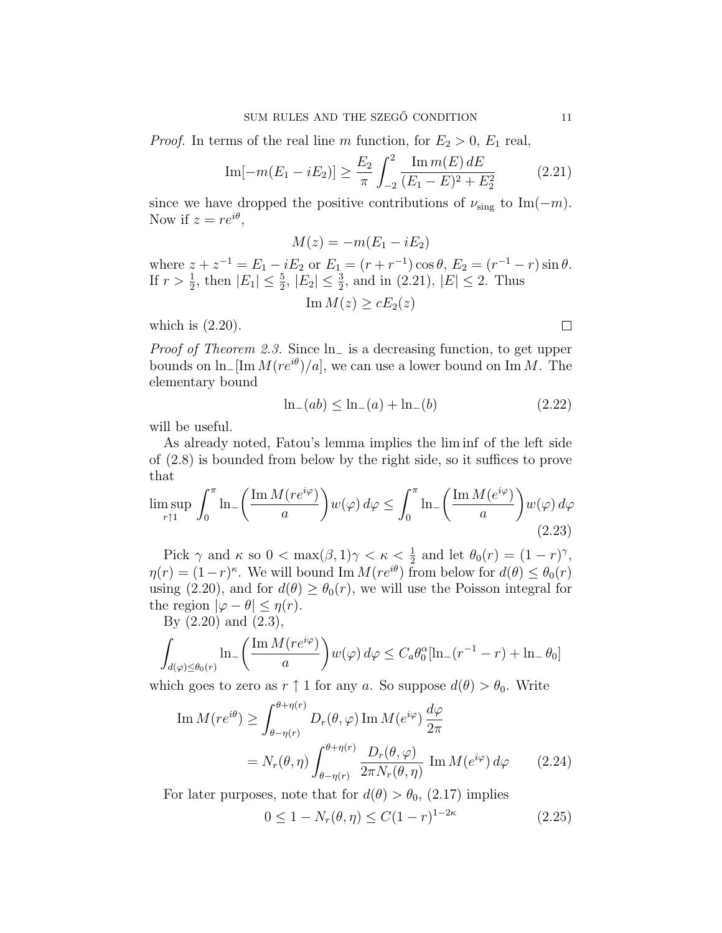*Proof.* In terms of the real line m function, for  $E_2 > 0$ ,  $E_1$  real,

Im[-
$$
m(E_1 - iE_2)
$$
]  $\geq \frac{E_2}{\pi} \int_{-2}^{2} \frac{\text{Im } m(E) dE}{(E_1 - E)^2 + E_2^2}$  (2.21)

since we have dropped the positive contributions of  $\nu_{sing}$  to Im( $-m$ ). Now if  $z = re^{i\theta}$ ,

$$
M(z) = -m(E_1 - iE_2)
$$

where  $z + z^{-1} = E_1 - iE_2$  or  $E_1 = (r + r^{-1}) \cos \theta$ ,  $E_2 = (r^{-1} - r) \sin \theta$ . If  $r > \frac{1}{2}$ , then  $|E_1| \leq \frac{5}{2}$ ,  $|E_2| \leq \frac{3}{2}$ , and in (2.21),  $|E| \leq 2$ . Thus

 $\text{Im } M(z) \geq cE_2(z)$ 

which is  $(2.20)$ .

Proof of Theorem 2.3. Since ln<sup>−</sup> is a decreasing function, to get upper bounds on  $\ln[\text{Im }M(re^{i\theta})/a]$ , we can use a lower bound on Im M. The elementary bound

$$
\ln_{-}(ab) \le \ln_{-}(a) + \ln_{-}(b) \tag{2.22}
$$

will be useful.

As already noted, Fatou's lemma implies the lim inf of the left side of (2.8) is bounded from below by the right side, so it suffices to prove that  $\overline{a}$  $\mathbf{r}$  $\overline{a}$  $\mathbf{r}$ 

$$
\limsup_{r \uparrow 1} \int_0^\pi \ln \left( \frac{\operatorname{Im} M(re^{i\varphi})}{a} \right) w(\varphi) d\varphi \le \int_0^\pi \ln \left( \frac{\operatorname{Im} M(e^{i\varphi})}{a} \right) w(\varphi) d\varphi
$$
\n(2.23)

Pick  $\gamma$  and  $\kappa$  so  $0 < \max(\beta, 1)\gamma < \kappa < \frac{1}{2}$  and let  $\theta_0(r) = (1 - r)^{\gamma}$ ,  $\eta(r) = (1-r)^{\kappa}$ . We will bound Im  $M(re^{i\theta})$  from below for  $d(\theta) \leq \theta_0(r)$ using (2.20), and for  $d(\theta) \geq \theta_0(r)$ , we will use the Poisson integral for the region  $|\varphi - \theta| \leq \eta(r)$ .

By (2.20) and (2.3),

$$
\int_{d(\varphi)\leq\theta_0(r)} \ln\left(\frac{\operatorname{Im} M(re^{i\varphi})}{a}\right) w(\varphi) d\varphi \leq C_a \theta_0^{\alpha} [\ln\left(r^{-1}-r\right) + \ln\theta_0]
$$

which goes to zero as  $r \uparrow 1$  for any a. So suppose  $d(\theta) > \theta_0$ . Write

$$
\text{Im}\,M(re^{i\theta}) \ge \int_{\theta-\eta(r)}^{\theta+\eta(r)} D_r(\theta,\varphi) \,\text{Im}\,M(e^{i\varphi}) \frac{d\varphi}{2\pi}
$$
\n
$$
= N_r(\theta,\eta) \int_{\theta-\eta(r)}^{\theta+\eta(r)} \frac{D_r(\theta,\varphi)}{2\pi N_r(\theta,\eta)} \,\text{Im}\,M(e^{i\varphi}) \,d\varphi \qquad (2.24)
$$

For later purposes, note that for  $d(\theta) > \theta_0$ , (2.17) implies

$$
0 \le 1 - N_r(\theta, \eta) \le C(1 - r)^{1 - 2\kappa} \tag{2.25}
$$

 $\Box$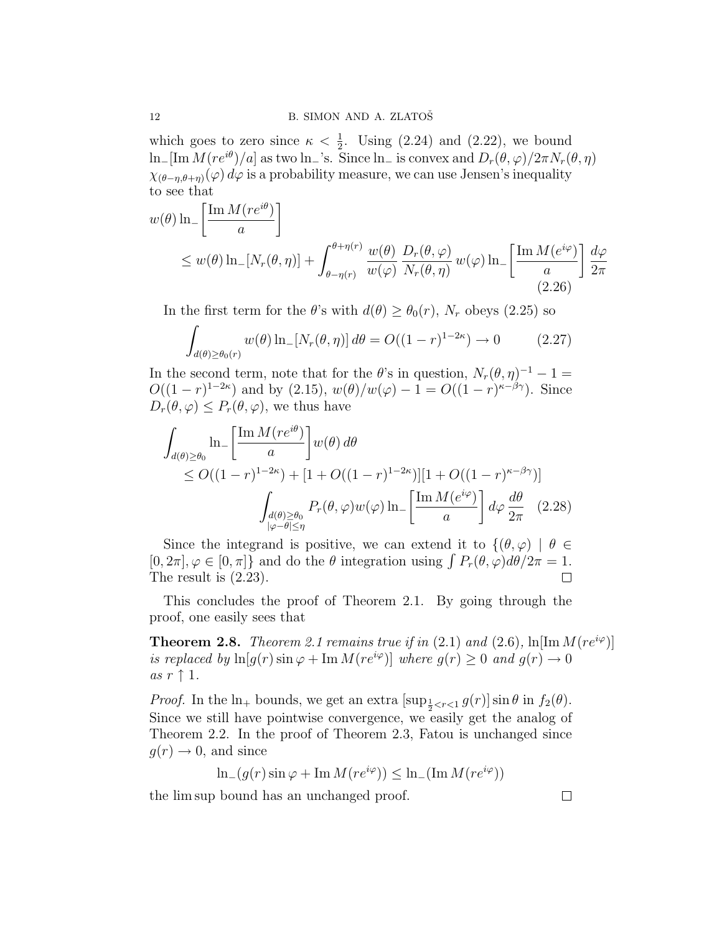which goes to zero since  $\kappa < \frac{1}{2}$ . Using (2.24) and (2.22), we bound ln<sub>−</sub>[Im  $M(re^{i\theta})/a$ ] as two ln<sub>−</sub>'s. Since ln<sub>−</sub> is convex and  $D_r(\theta, \varphi)/2\pi N_r(\theta, \eta)$  $\chi_{(\theta-\eta,\theta+\eta)}(\varphi) d\varphi$  is a probability measure, we can use Jensen's inequality to see that  $\overline{a}$ 

$$
w(\theta) \ln \left[ \frac{\operatorname{Im} M(re^{i\theta})}{a} \right]
$$
  
\n
$$
\leq w(\theta) \ln \left[ N_r(\theta, \eta) \right] + \int_{\theta - \eta(r)}^{\theta + \eta(r)} \frac{w(\theta)}{w(\varphi)} \frac{D_r(\theta, \varphi)}{N_r(\theta, \eta)} w(\varphi) \ln \left[ \frac{\operatorname{Im} M(e^{i\varphi})}{a} \right] \frac{d\varphi}{2\pi}
$$
\n(2.26)

In the first term for the  $\theta$ 's with  $d(\theta) \ge \theta_0(r)$ ,  $N_r$  obeys (2.25) so

$$
\int_{d(\theta) \ge \theta_0(r)} w(\theta) \ln \left[N_r(\theta, \eta)\right] d\theta = O((1-r)^{1-2\kappa}) \to 0 \tag{2.27}
$$

In the second term, note that for the  $\theta$ 's in question,  $N_r(\theta, \eta)^{-1} - 1 =$  $O((1 - r)^{1-2\kappa})$  and by (2.15),  $w(\theta)/w(\varphi) - 1 = O((1 - r)^{\kappa - \beta\gamma})$ . Since  $D_r(\theta, \varphi) \leq P_r(\theta, \varphi)$ , we thus have

$$
\int_{d(\theta)\geq\theta_{0}} \ln_{-}\left[\frac{\operatorname{Im} M(re^{i\theta})}{a}\right] w(\theta) d\theta
$$
\n
$$
\leq O((1-r)^{1-2\kappa}) + [1+O((1-r)^{1-2\kappa})][1+O((1-r)^{\kappa-\beta\gamma})]
$$
\n
$$
\int_{\substack{d(\theta)\geq\theta_{0} \\ |\varphi-\theta|\leq\eta}} P_{r}(\theta,\varphi)w(\varphi) \ln_{-}\left[\frac{\operatorname{Im} M(e^{i\varphi})}{a}\right] d\varphi \frac{d\theta}{2\pi} \quad (2.28)
$$

Since the integrand is positive, we can extend it to  $\{(\theta, \varphi) | \theta \in$ Since the integrand is positive, we can extend it to  $\{(\theta, \varphi) \mid \theta \in [0, 2\pi], \varphi \in [0, \pi]\}$  and do the  $\theta$  integration using  $\int P_r(\theta, \varphi) d\theta/2\pi = 1$ . The result is (2.23).  $\Box$ 

This concludes the proof of Theorem 2.1. By going through the proof, one easily sees that

**Theorem 2.8.** Theorem 2.1 remains true if in (2.1) and (2.6),  $\ln[\text{Im }M(re^{i\varphi})]$ is replaced by  $\ln[g(r)\sin\varphi + \text{Im }M(re^{i\varphi})]$  where  $g(r) \geq 0$  and  $g(r) \to 0$ as  $r \uparrow 1$ .

*Proof.* In the  $\ln_+$  bounds, we get an extra  $[\sup_{\frac{1}{2} < r < 1} g(r)] \sin \theta$  in  $f_2(\theta)$ . Since we still have pointwise convergence, we easily get the analog of Theorem 2.2. In the proof of Theorem 2.3, Fatou is unchanged since  $g(r) \rightarrow 0$ , and since

ln<sub>−</sub>(g(r) sin  $\varphi$  + Im  $M(re^{i\varphi})$ ) ≤ ln<sub>−</sub>(Im  $M(re^{i\varphi})$ )

the lim sup bound has an unchanged proof.

 $\Box$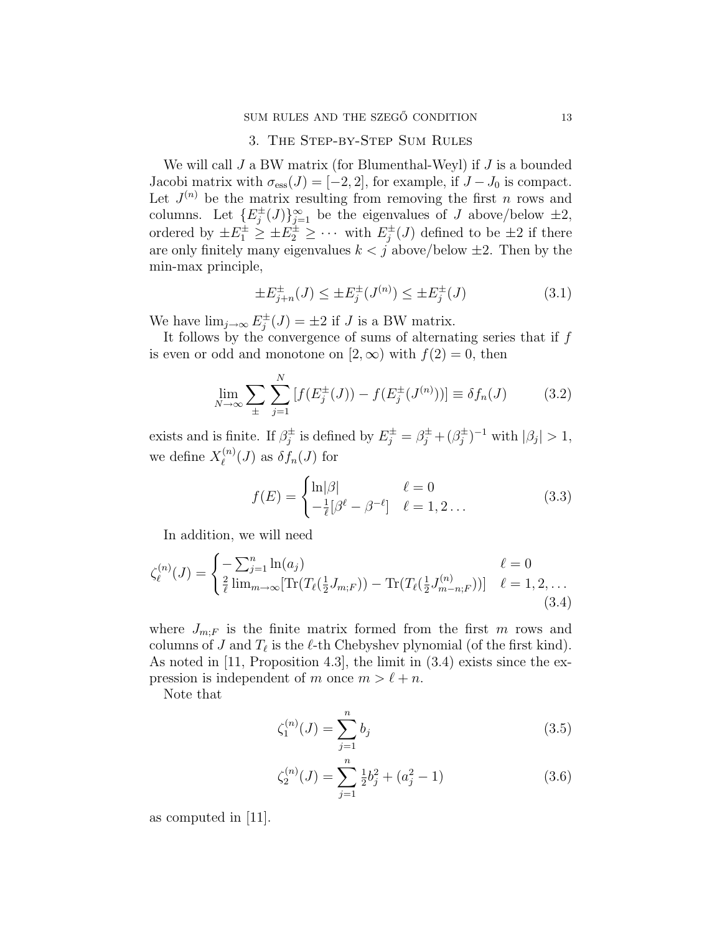### 3. The Step-by-Step Sum Rules

We will call  $J$  a BW matrix (for Blumenthal-Weyl) if  $J$  is a bounded Jacobi matrix with  $\sigma_{\text{ess}}(J) = [-2, 2]$ , for example, if  $J - J_0$  is compact. Let  $J^{(n)}$  be the matrix resulting from removing the first n rows and columns. Let  $\{E_i^{\pm}\}\$  $\{\phi_j^{\pm}(J)\}_{j=1}^{\infty}$  be the eigenvalues of J above/below  $\pm 2$ , ordered by  $\pm E_1^{\pm} \geq \pm E_2^{\pm} \geq \cdots$  with  $E_j^{\pm}$  $j^{\pm}(J)$  defined to be  $\pm 2$  if there are only finitely many eigenvalues  $k < j$  above/below  $\pm 2$ . Then by the min-max principle,

$$
\pm E_{j+n}^{\pm}(J) \le \pm E_j^{\pm}(J^{(n)}) \le \pm E_j^{\pm}(J)
$$
\n(3.1)

We have  $\lim_{j\to\infty} E_i^{\pm}$  $j^{\pm}(J) = \pm 2$  if J is a BW matrix.

It follows by the convergence of sums of alternating series that if  $f$ is even or odd and monotone on  $[2,\infty)$  with  $f(2)=0$ , then

$$
\lim_{N \to \infty} \sum_{\pm} \sum_{j=1}^{N} \left[ f(E_j^{\pm}(J)) - f(E_j^{\pm}(J^{(n)})) \right] \equiv \delta f_n(J) \tag{3.2}
$$

exists and is finite. If  $\beta_i^{\pm}$  $g_j^{\pm}$  is defined by  $E_j^{\pm} = \beta_j^{\pm} + (\beta_j^{\pm})$  $\binom{\pm}{j}$ <sup>-1</sup> with  $|\beta_j| > 1$ , we define  $X_{\ell}^{(n)}$  $\ell^{(n)}(J)$  as  $\delta f_n(J)$  for

$$
f(E) = \begin{cases} \ln|\beta| & \ell = 0\\ -\frac{1}{\ell}[\beta^{\ell} - \beta^{-\ell}] & \ell = 1, 2 \dots \end{cases}
$$
 (3.3)

In addition, we will need

$$
\zeta_{\ell}^{(n)}(J) = \begin{cases}\n-\sum_{j=1}^{n} \ln(a_j) & \ell = 0 \\
\frac{2}{\ell} \lim_{m \to \infty} [\text{Tr}(T_{\ell}(\frac{1}{2}J_{m;F})) - \text{Tr}(T_{\ell}(\frac{1}{2}J_{m-n;F}^{(n)}))] & \ell = 1, 2, \dots \\
(3.4)\n\end{cases}
$$

where  $J_{m,F}$  is the finite matrix formed from the first m rows and columns of J and  $T_{\ell}$  is the  $\ell$ -th Chebyshev plynomial (of the first kind). As noted in [11, Proposition 4.3], the limit in (3.4) exists since the expression is independent of m once  $m > \ell + n$ .

Note that

$$
\zeta_1^{(n)}(J) = \sum_{j=1}^n b_j \tag{3.5}
$$

$$
\zeta_2^{(n)}(J) = \sum_{j=1}^n \frac{1}{2} b_j^2 + (a_j^2 - 1)
$$
\n(3.6)

as computed in [11].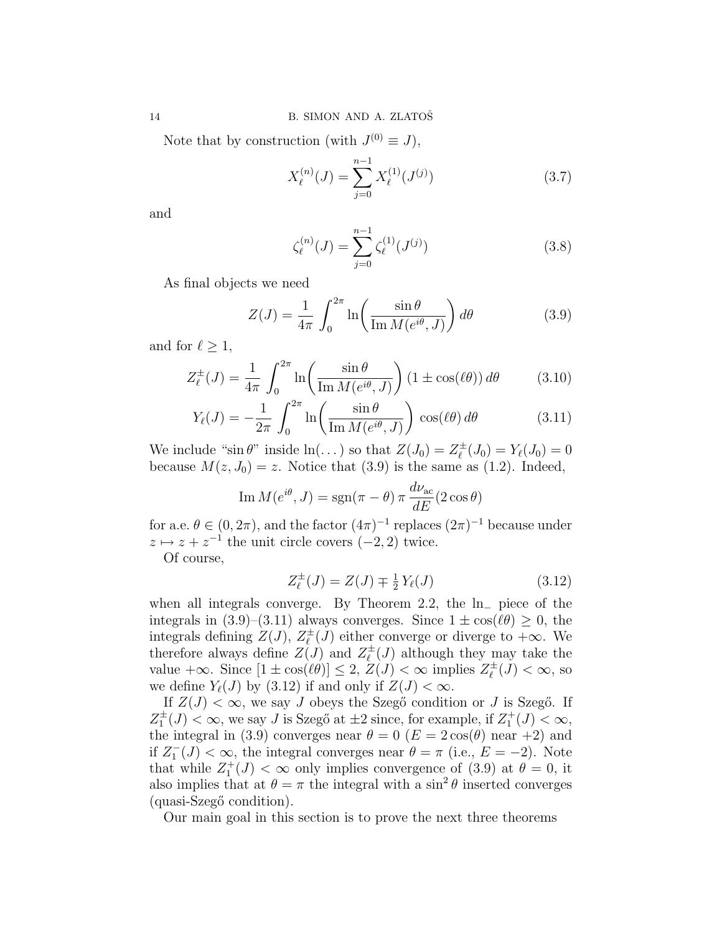Note that by construction (with  $J^{(0)} \equiv J$ ),

$$
X_{\ell}^{(n)}(J) = \sum_{j=0}^{n-1} X_{\ell}^{(1)}(J^{(j)})
$$
\n(3.7)

and

$$
\zeta_{\ell}^{(n)}(J) = \sum_{j=0}^{n-1} \zeta_{\ell}^{(1)}(J^{(j)})
$$
\n(3.8)

As final objects we need

$$
Z(J) = \frac{1}{4\pi} \int_0^{2\pi} \ln\left(\frac{\sin\theta}{\operatorname{Im} M(e^{i\theta}, J)}\right) d\theta \tag{3.9}
$$

and for  $\ell \geq 1$ ,

$$
Z_{\ell}^{\pm}(J) = \frac{1}{4\pi} \int_0^{2\pi} \ln\left(\frac{\sin\theta}{\operatorname{Im} M(e^{i\theta}, J)}\right) (1 \pm \cos(\ell\theta)) d\theta \qquad (3.10)
$$

$$
Y_{\ell}(J) = -\frac{1}{2\pi} \int_0^{2\pi} \ln\left(\frac{\sin\theta}{\mathrm{Im}\,M(e^{i\theta},J)}\right) \cos(\ell\theta) d\theta \tag{3.11}
$$

We include "sin  $\theta$ " inside  $\ln(\dots)$  so that  $Z(J_0) = Z_{\ell}^{\pm}$  $Y_{\ell}^{\pm}(J_0) = Y_{\ell}(J_0) = 0$ because  $M(z, J_0) = z$ . Notice that (3.9) is the same as (1.2). Indeed,

Im 
$$
M(e^{i\theta}, J) = \text{sgn}(\pi - \theta) \pi \frac{d\nu_{\text{ac}}}{dE} (2 \cos \theta)
$$

for a.e.  $\theta \in (0, 2\pi)$ , and the factor  $(4\pi)^{-1}$  replaces  $(2\pi)^{-1}$  because under  $z \mapsto z + z^{-1}$  the unit circle covers  $(-2, 2)$  twice.

Of course,

$$
Z_{\ell}^{\pm}(J) = Z(J) \mp \frac{1}{2} Y_{\ell}(J)
$$
\n(3.12)

when all integrals converge. By Theorem 2.2, the ln<sup>−</sup> piece of the integrals in (3.9)–(3.11) always converges. Since  $1 \pm \cos(\ell\theta) \geq 0$ , the integrals defining  $Z(J)$ ,  $Z_{\ell}^{\pm}$  $\chi^{\pm}_{\ell}(J)$  either converge or diverge to  $+\infty$ . We therefore always define  $Z(J)$  and  $Z_{\ell}^{\pm}$  $\mu^{\pm}_{\ell}(J)$  although they may take the value  $+\infty$ . Since  $[1 \pm \cos(\ell\theta)] \leq 2$ ,  $Z(J) < \infty$  implies  $Z_{\ell}^{\pm}$  $\chi^{\pm}_{\ell}(J) < \infty$ , so we define  $Y_{\ell}(J)$  by (3.12) if and only if  $Z(J) < \infty$ .

If  $Z(J) < \infty$ , we say J obeys the Szegő condition or J is Szegő. If  $Z_1^{\pm}(J) < \infty$ , we say J is Szegő at  $\pm 2$  since, for example, if  $Z_1^+(J) < \infty$ , the integral in (3.9) converges near  $\theta = 0$  ( $E = 2 \cos(\theta)$  near +2) and if  $Z_1^-(J) < \infty$ , the integral converges near  $\theta = \pi$  (i.e.,  $E = -2$ ). Note that while  $Z_1^+(J) < \infty$  only implies convergence of (3.9) at  $\theta = 0$ , it also implies that at  $\theta = \pi$  the integral with a sin<sup>2</sup>  $\theta$  inserted converges (quasi-Szegő condition).

Our main goal in this section is to prove the next three theorems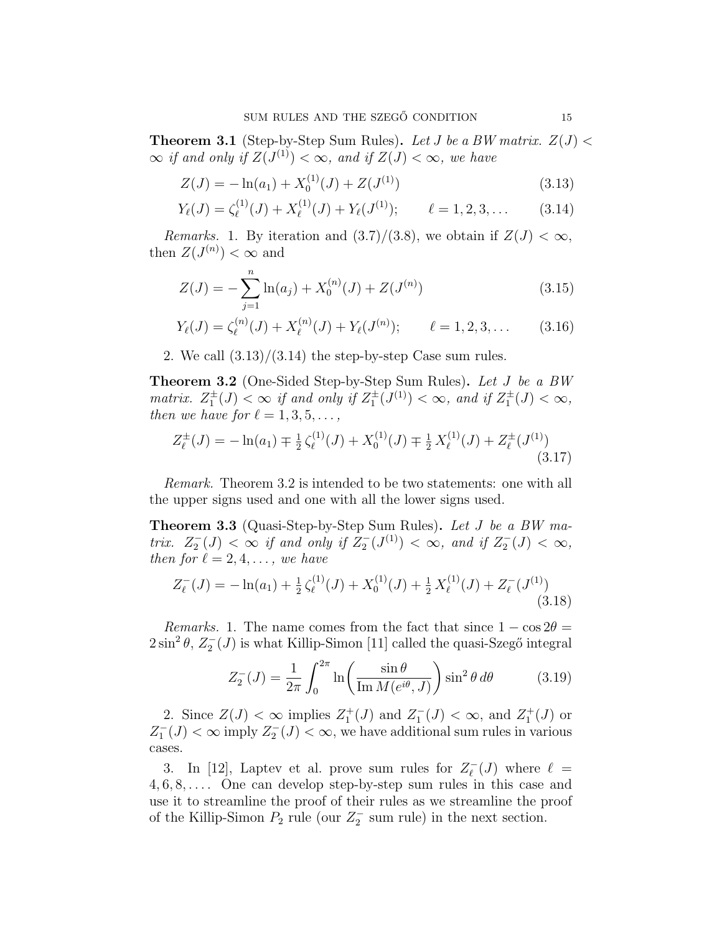**Theorem 3.1** (Step-by-Step Sum Rules). Let J be a BW matrix.  $Z(J)$  <  $\infty$  if and only if  $Z(J^{(1)}) < \infty$ , and if  $Z(J) < \infty$ , we have

$$
Z(J) = -\ln(a_1) + X_0^{(1)}(J) + Z(J^{(1)})\tag{3.13}
$$

$$
Y_{\ell}(J) = \zeta_{\ell}^{(1)}(J) + X_{\ell}^{(1)}(J) + Y_{\ell}(J^{(1)}); \qquad \ell = 1, 2, 3, \dots \qquad (3.14)
$$

*Remarks.* 1. By iteration and  $(3.7)/(3.8)$ , we obtain if  $Z(J) < \infty$ , then  $Z(J^{(n)}) < \infty$  and

$$
Z(J) = -\sum_{j=1}^{n} \ln(a_j) + X_0^{(n)}(J) + Z(J^{(n)})
$$
\n(3.15)

$$
Y_{\ell}(J) = \zeta_{\ell}^{(n)}(J) + X_{\ell}^{(n)}(J) + Y_{\ell}(J^{(n)}); \qquad \ell = 1, 2, 3, ... \qquad (3.16)
$$

2. We call  $(3.13)/(3.14)$  the step-by-step Case sum rules.

Theorem 3.2 (One-Sided Step-by-Step Sum Rules). Let J be a BW matrix.  $Z_1^{\pm}(J) < \infty$  if and only if  $Z_1^{\pm}(J^{(1)}) < \infty$ , and if  $Z_1^{\pm}(J) < \infty$ , then we have for  $\ell = 1, 3, 5, \ldots$ ,

$$
Z_{\ell}^{\pm}(J) = -\ln(a_1) \mp \frac{1}{2} \zeta_{\ell}^{(1)}(J) + X_0^{(1)}(J) \mp \frac{1}{2} X_{\ell}^{(1)}(J) + Z_{\ell}^{\pm}(J^{(1)}) \tag{3.17}
$$

Remark. Theorem 3.2 is intended to be two statements: one with all the upper signs used and one with all the lower signs used.

Theorem 3.3 (Quasi-Step-by-Step Sum Rules). Let J be a BW matrix.  $Z_2^-(J) < \infty$  if and only if  $Z_2^-(J^{(1)}) < \infty$ , and if  $Z_2^-(J) < \infty$ , then for  $\ell = 2, 4, \ldots$ , we have

$$
Z_{\ell}^{-}(J) = -\ln(a_1) + \frac{1}{2}\zeta_{\ell}^{(1)}(J) + X_0^{(1)}(J) + \frac{1}{2}X_{\ell}^{(1)}(J) + Z_{\ell}^{-}(J^{(1)})
$$
\n(3.18)

*Remarks.* 1. The name comes from the fact that since  $1 - \cos 2\theta =$  $2\sin^2\theta$ ,  $Z_2^-(J)$  is what Killip-Simon [11] called the quasi-Szegő integral

$$
Z_2^-(J) = \frac{1}{2\pi} \int_0^{2\pi} \ln\left(\frac{\sin\theta}{\operatorname{Im} M(e^{i\theta}, J)}\right) \sin^2\theta \, d\theta \tag{3.19}
$$

2. Since  $Z(J) < \infty$  implies  $Z_1^+(J)$  and  $Z_1^-(J) < \infty$ , and  $Z_1^+(J)$  or  $Z_1^-(J) < \infty$  imply  $Z_2^-(J) < \infty$ , we have additional sum rules in various cases.

3. In [12], Laptev et al. prove sum rules for  $Z_{\ell}^{-}$  $\iota_{\ell}^{-}(J)$  where  $\ell =$  $4, 6, 8, \ldots$ . One can develop step-by-step sum rules in this case and use it to streamline the proof of their rules as we streamline the proof of the Killip-Simon  $P_2$  rule (our  $Z_2^-$  sum rule) in the next section.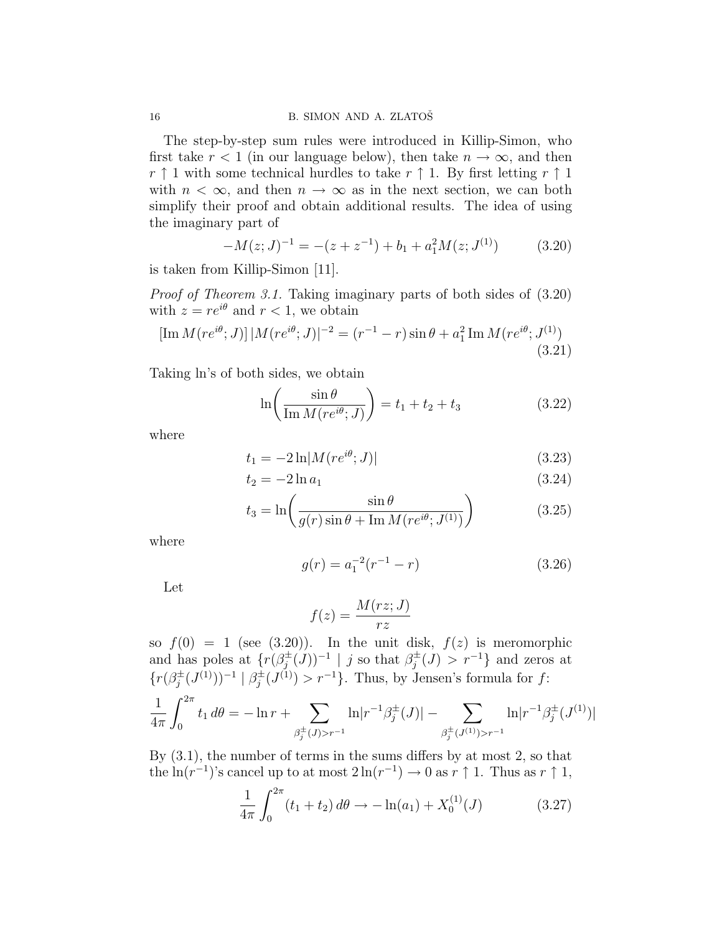The step-by-step sum rules were introduced in Killip-Simon, who first take  $r < 1$  (in our language below), then take  $n \to \infty$ , and then  $r \uparrow 1$  with some technical hurdles to take  $r \uparrow 1$ . By first letting  $r \uparrow 1$ with  $n < \infty$ , and then  $n \to \infty$  as in the next section, we can both simplify their proof and obtain additional results. The idea of using the imaginary part of

$$
-M(z;J)^{-1} = -(z + z^{-1}) + b_1 + a_1^2 M(z;J^{(1)})
$$
(3.20)

is taken from Killip-Simon [11].

Proof of Theorem 3.1. Taking imaginary parts of both sides of (3.20) with  $z = re^{i\theta}$  and  $r < 1$ , we obtain

$$
[\text{Im } M(re^{i\theta}; J)] | M(re^{i\theta}; J)|^{-2} = (r^{-1} - r)\sin\theta + a_1^2 \text{Im } M(re^{i\theta}; J^{(1)})
$$
\n(3.21)

Taking ln's of both sides, we obtain

$$
\ln\left(\frac{\sin\theta}{\operatorname{Im}M(re^{i\theta};J)}\right) = t_1 + t_2 + t_3 \tag{3.22}
$$

where

$$
t_1 = -2\ln|M(re^{i\theta};J)|
$$
\n(3.23)

$$
t_2 = -2\ln a_1 \tag{3.24}
$$

$$
t_3 = \ln\left(\frac{\sin\theta}{g(r)\sin\theta + \text{Im} M(re^{i\theta};J^{(1)})}\right) \tag{3.25}
$$

where

$$
g(r) = a_1^{-2}(r^{-1} - r)
$$
 (3.26)

Let

$$
f(z) = \frac{M(rz;J)}{rz}
$$

so  $f(0) = 1$  (see (3.20)). In the unit disk,  $f(z)$  is meromorphic and has poles at  $\{r(\beta_i^{\pm})\}$  $(j^{\pm}(J))^{-1}$  | j so that  $\beta_j^{\pm}$  $j^{\pm}(J) > r^{-1}$ } and zeros at  $\{r(\beta_i^{\pm}$  $\beta_j^{\pm}(J^{(1)}))^{-1} \mid \beta_j^{\pm}$  $j_j^{\pm}(J^{(1)}) > r^{-1}$ . Thus, by Jensen's formula for f: 1  $4\pi$  $\int$ <sup>2π</sup>  $\boldsymbol{0}$  $t_1 d\theta = -\ln r +$  $\overline{\phantom{a}}$  $\beta_j^{\pm}(J) > r^{-1}$  $\ln |r^{-1}\beta_i^{\pm}$  $\frac{1}{j}(J)|$  –  $\sum$  $\beta_j^{\pm}(J^{(1)}) > r^{-1}$  $\ln|r^{-1}\beta_i^{\pm}$  $\int_{j}^{\pm} (J^{(1)})$ 

By (3.1), the number of terms in the sums differs by at most 2, so that the  $\ln(r^{-1})$ 's cancel up to at most  $2\ln(r^{-1}) \to 0$  as  $r \uparrow 1$ . Thus as  $r \uparrow 1$ ,

$$
\frac{1}{4\pi} \int_0^{2\pi} (t_1 + t_2) \, d\theta \to -\ln(a_1) + X_0^{(1)}(J) \tag{3.27}
$$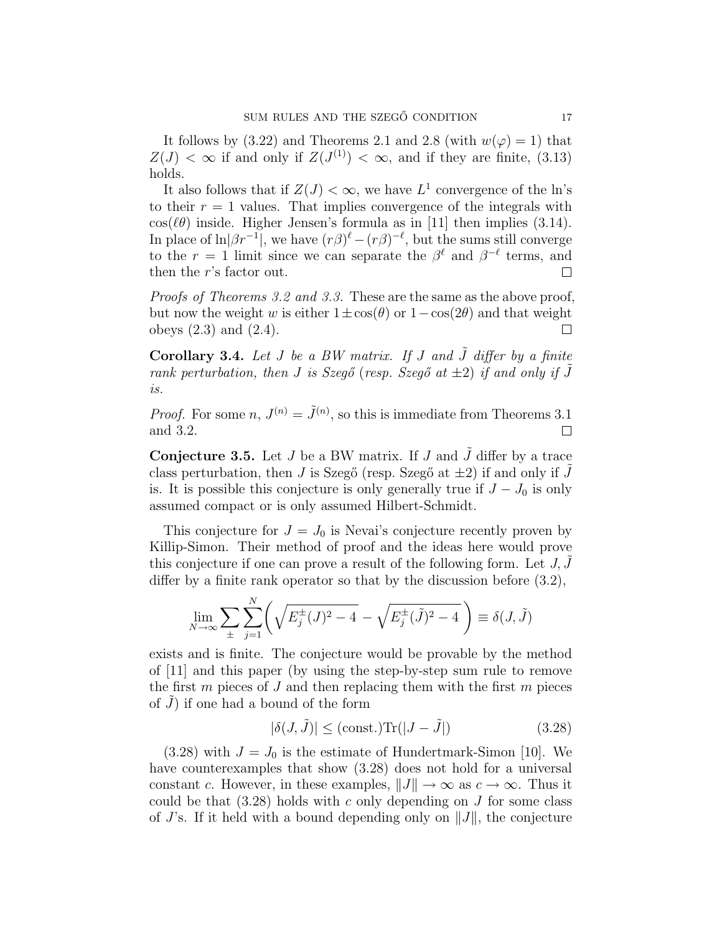It follows by (3.22) and Theorems 2.1 and 2.8 (with  $w(\varphi) = 1$ ) that  $Z(J) < \infty$  if and only if  $Z(J^{(1)}) < \infty$ , and if they are finite, (3.13) holds.

It also follows that if  $Z(J) < \infty$ , we have  $L^1$  convergence of the ln's to their  $r = 1$  values. That implies convergence of the integrals with  $\cos(\ell\theta)$  inside. Higher Jensen's formula as in [11] then implies (3.14). In place of  $\ln|\beta r^{-1}|$ , we have  $(r\beta)^{\ell} - (r\beta)^{-\ell}$ , but the sums still converge to the  $r = 1$  limit since we can separate the  $\beta^{\ell}$  and  $\beta^{-\ell}$  terms, and then the r's factor out.  $\Box$ 

Proofs of Theorems 3.2 and 3.3. These are the same as the above proof, but now the weight w is either  $1\pm\cos(\theta)$  or  $1-\cos(2\theta)$  and that weight obeys  $(2.3)$  and  $(2.4)$ .  $\Box$ 

Corollary 3.4. Let  $J$  be a BW matrix. If  $J$  and  $\tilde{J}$  differ by a finite rank perturbation, then J is Szegő (resp. Szegő at  $\pm 2$ ) if and only if  $\tilde{J}$ is.

*Proof.* For some  $n, J^{(n)} = \tilde{J}^{(n)}$ , so this is immediate from Theorems 3.1 and 3.2.  $\Box$ 

**Conjecture 3.5.** Let  $J$  be a BW matrix. If  $J$  and  $\tilde{J}$  differ by a trace class perturbation, then J is Szegő (resp. Szegő at  $\pm 2$ ) if and only if J is. It is possible this conjecture is only generally true if  $J - J_0$  is only assumed compact or is only assumed Hilbert-Schmidt.

This conjecture for  $J = J_0$  is Nevai's conjecture recently proven by Killip-Simon. Their method of proof and the ideas here would prove this conjecture if one can prove a result of the following form. Let  $J, J$ differ by a finite rank operator so that by the discussion before (3.2),

$$
\lim_{N \to \infty} \sum_{\pm} \sum_{j=1}^{N} \left( \sqrt{E_j^{\pm}(J)^2 - 4} - \sqrt{E_j^{\pm}(\tilde{J})^2 - 4} \right) \equiv \delta(J, \tilde{J})
$$

exists and is finite. The conjecture would be provable by the method of [11] and this paper (by using the step-by-step sum rule to remove the first  $m$  pieces of  $J$  and then replacing them with the first  $m$  pieces of  $J$ ) if one had a bound of the form

$$
|\delta(J,\tilde{J})| \le (\text{const.}) \text{Tr}(|J-\tilde{J}|) \tag{3.28}
$$

 $(3.28)$  with  $J = J_0$  is the estimate of Hundertmark-Simon [10]. We have counterexamples that show  $(3.28)$  does not hold for a universal constant c. However, in these examples,  $||J|| \to \infty$  as  $c \to \infty$ . Thus it could be that  $(3.28)$  holds with c only depending on J for some class of  $J$ 's. If it held with a bound depending only on  $||J||$ , the conjecture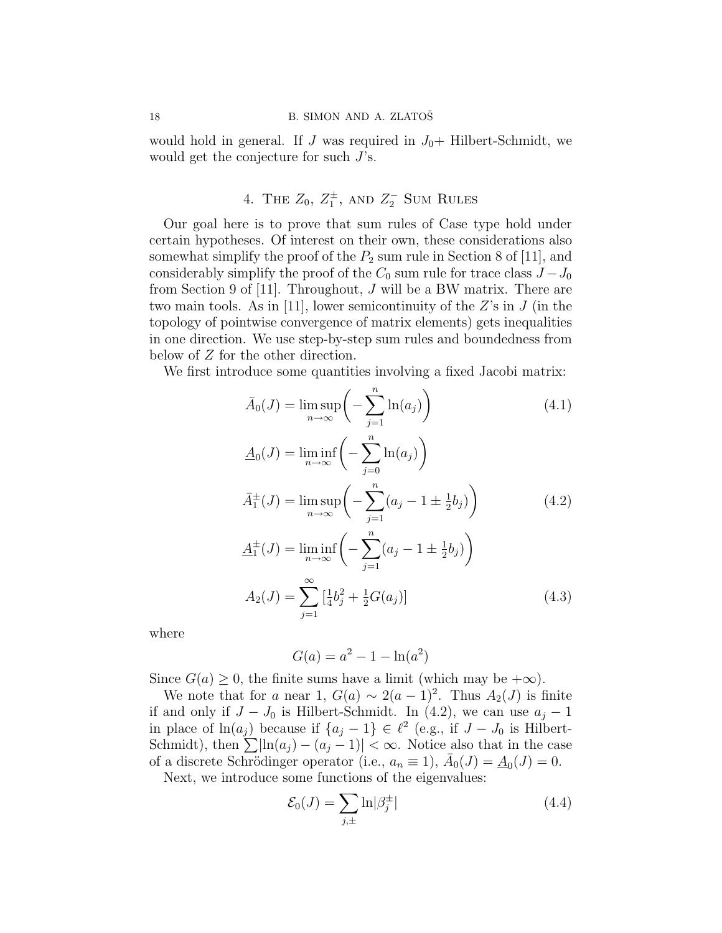would hold in general. If J was required in  $J_0+$  Hilbert-Schmidt, we would get the conjecture for such J's.

# 4. THE  $Z_0$ ,  $Z_1^{\pm}$ , and  $Z_2^-$  Sum Rules

Our goal here is to prove that sum rules of Case type hold under certain hypotheses. Of interest on their own, these considerations also somewhat simplify the proof of the  $P_2$  sum rule in Section 8 of [11], and considerably simplify the proof of the  $C_0$  sum rule for trace class  $J-J_0$ from Section 9 of [11]. Throughout, J will be a BW matrix. There are two main tools. As in [11], lower semicontinuity of the  $Z$ 's in  $J$  (in the topology of pointwise convergence of matrix elements) gets inequalities in one direction. We use step-by-step sum rules and boundedness from below of Z for the other direction.

We first introduce some quantities involving a fixed Jacobi matrix:

$$
\bar{A}_0(J) = \lim_{n \to \infty} \sup \left( -\sum_{j=1}^n \ln(a_j) \right) \tag{4.1}
$$
\n
$$
\underline{A}_0(J) = \lim_{n \to \infty} \inf \left( -\sum_{j=1}^n \ln(a_j) \right)
$$
\n
$$
\bar{A}_1^{\pm}(J) = \lim_{n \to \infty} \sup \left( -\sum_{j=1}^n (a_j - 1 \pm \frac{1}{2}b_j) \right) \tag{4.2}
$$
\n
$$
\underline{A}_1^{\pm}(J) = \lim_{n \to \infty} \inf \left( -\sum_{j=1}^n (a_j - 1 \pm \frac{1}{2}b_j) \right)
$$
\n
$$
A_2(J) = \sum_{j=1}^\infty \left[ \frac{1}{4} b_j^2 + \frac{1}{2} G(a_j) \right] \tag{4.3}
$$

where

$$
G(a) = a^2 - 1 - \ln(a^2)
$$

Since  $G(a) \geq 0$ , the finite sums have a limit (which may be  $+\infty$ ).

We note that for a near 1,  $G(a) \sim 2(a-1)^2$ . Thus  $A_2(J)$  is finite if and only if  $J - J_0$  is Hilbert-Schmidt. In (4.2), we can use  $a_j - 1$ in place of  $\ln(a_j)$  because if  $\{a_j - 1\} \in \ell^2$  (e.g., if  $J - J_0$  is Hilbert-Schmidt), then  $\sum |\ln(a_j) - (a_j - 1)| < \infty$ . Notice also that in the case of a discrete Schrödinger operator (i.e.,  $a_n \equiv 1$ ),  $\bar{A}_0(J) = \underline{A}_0(J) = 0$ .

Next, we introduce some functions of the eigenvalues:

$$
\mathcal{E}_0(J) = \sum_{j,\pm} \ln|\beta_j^{\pm}| \tag{4.4}
$$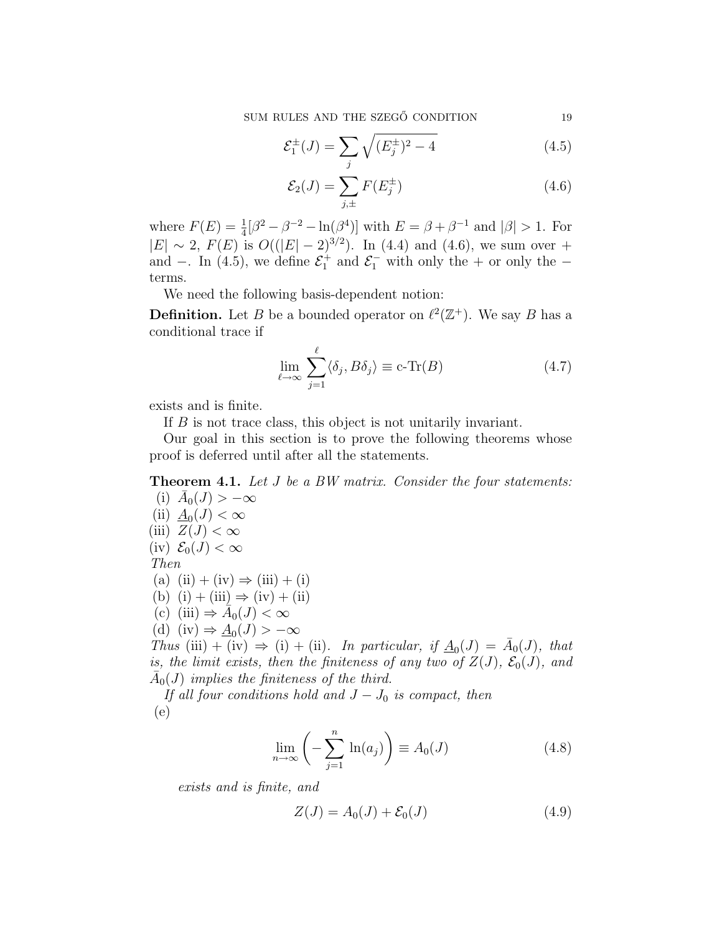$$
\mathcal{E}_1^{\pm}(J) = \sum_j \sqrt{(E_j^{\pm})^2 - 4} \tag{4.5}
$$

$$
\mathcal{E}_2(J) = \sum_{j,\pm}^{J} F(E_j^{\pm})
$$
\n(4.6)

where  $F(E) = \frac{1}{4} [\beta^2 - \beta^{-2} - \ln(\beta^4)]$  with  $E = \beta + \beta^{-1}$  and  $|\beta| > 1$ . For  $|E| \sim 2$ ,  $F(E)$  is  $O((|E|-2)^{3/2})$ . In (4.4) and (4.6), we sum over + and −. In (4.5), we define  $\mathcal{E}_1^+$  and  $\mathcal{E}_1^-$  with only the + or only the terms.

We need the following basis-dependent notion:

**Definition.** Let B be a bounded operator on  $\ell^2(\mathbb{Z}^+)$ . We say B has a conditional trace if

$$
\lim_{\ell \to \infty} \sum_{j=1}^{\ell} \langle \delta_j, B\delta_j \rangle \equiv \text{c-Tr}(B) \tag{4.7}
$$

exists and is finite.

If B is not trace class, this object is not unitarily invariant.

Our goal in this section is to prove the following theorems whose proof is deferred until after all the statements.

Theorem 4.1. Let J be a BW matrix. Consider the four statements:

(i) 
$$
\bar{A}_0(J) > -\infty
$$
  
\n(ii)  $\underline{A}_0(J) < \infty$   
\n(iii)  $Z(J) < \infty$   
\n(iv)  $\mathcal{E}_0(J) < \infty$   
\nThen  
\n(a) (ii) + (iv)  $\Rightarrow$  (iii) + (i)  
\n(b) (i) + (iii)  $\Rightarrow$  (iv) + (ii)  
\n(c) (iii)  $\Rightarrow \bar{A}_0(J) < \infty$   
\n(d) (iv)  $\Rightarrow \underline{A}_0(J) > -\infty$   
\nThus (iii) + (iv)  $\Rightarrow$  (i) + (ii). In particular, if  $\underline{A}_0(J)$   
\nis, the limit exists, then the finiteness of any two of Z

 $(J) = \overline{A}_0(J)$ , that  $\mathcal{E}_0(J), \ \mathcal{E}_0(J), \ \text{and}$  $\overline{A}_0(J)$  implies the finiteness of the third.

If all four conditions hold and  $J-J_0$  is compact, then (e)

$$
\lim_{n \to \infty} \left( -\sum_{j=1}^{n} \ln(a_j) \right) \equiv A_0(J) \tag{4.8}
$$

exists and is finite, and

$$
Z(J) = A_0(J) + \mathcal{E}_0(J) \tag{4.9}
$$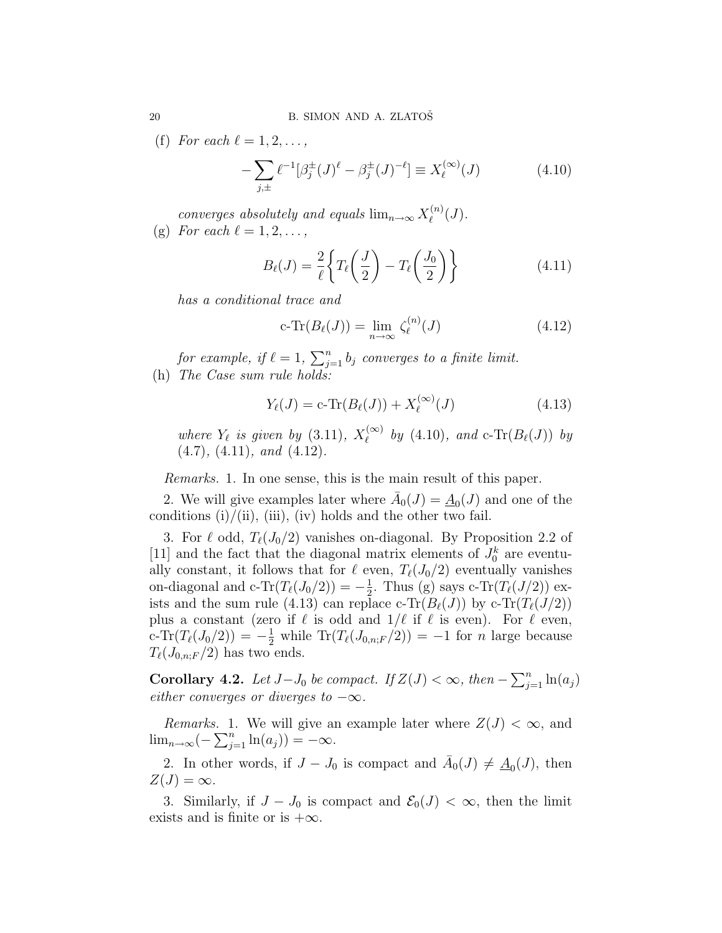(f) For each  $\ell = 1, 2, \ldots$ ,

$$
-\sum_{j,\pm} \ell^{-1} [\beta_j^{\pm}(J)^{\ell} - \beta_j^{\pm}(J)^{-\ell}] \equiv X_{\ell}^{(\infty)}(J)
$$
 (4.10)

converges absolutely and equals  $\lim_{n\to\infty} X_\ell^{(n)}$  $\ell^{(n)}(J).$ (g) For each  $\ell = 1, 2, \ldots$ ,

$$
B_{\ell}(J) = \frac{2}{\ell} \left\{ T_{\ell} \left( \frac{J}{2} \right) - T_{\ell} \left( \frac{J_0}{2} \right) \right\} \tag{4.11}
$$

has a conditional trace and

$$
c\text{-}\mathrm{Tr}(B_{\ell}(J)) = \lim_{n \to \infty} \zeta_{\ell}^{(n)}(J) \tag{4.12}
$$

for example, if  $\ell = 1, \sum_{i=1}^n$  $\sum_{j=1}^{n} b_j$  converges to a finite limit. (h) The Case sum rule holds:

$$
Y_{\ell}(J) = c \text{-Tr}(B_{\ell}(J)) + X_{\ell}^{(\infty)}(J)
$$
\n(4.13)

where  $Y_{\ell}$  is given by (3.11),  $X_{\ell}^{(\infty)}$  $\int_{\ell}^{(\infty)}$  by (4.10), and c-Tr( $B_{\ell}(J)$ ) by  $(4.7), (4.11), and (4.12).$ 

Remarks. 1. In one sense, this is the main result of this paper.

2. We will give examples later where  $\bar{A}_0(J) = \underline{A}_0(J)$  and one of the conditions  $(i)/(ii)$ ,  $(iii)$ ,  $(iv)$  holds and the other two fail.

3. For  $\ell$  odd,  $T_{\ell}(J_0/2)$  vanishes on-diagonal. By Proposition 2.2 of [11] and the fact that the diagonal matrix elements of  $J_0^k$  are eventually constant, it follows that for  $\ell$  even,  $T_{\ell}(J_0/2)$  eventually vanishes on-diagonal and c-Tr $(T_{\ell}(J_0/2)) = -\frac{1}{2}$  $\frac{1}{2}$ . Thus (g) says c-Tr( $T_{\ell}(J/2)$ ) exists and the sum rule (4.13) can replace c-Tr( $B_{\ell}(J)$ ) by c-Tr( $T_{\ell}(J/2)$ ) plus a constant (zero if  $\ell$  is odd and  $1/\ell$  if  $\ell$  is even). For  $\ell$  even, c-Tr( $T_{\ell}(J_0/2)$ ) =  $-\frac{1}{2}$  while Tr( $T_{\ell}(J_{0,n;F}/2)$ ) = -1 for *n* large because  $T_{\ell}(J_{0,n;F}/2)$  has two ends.

**Corollary 4.2.** Let  $J-J_0$  be compact. If  $Z(J) < \infty$ , then  $-\sum_{i=1}^n$  $\sum_{j=1}^n \ln(a_j)$ either converges or diverges to  $-\infty$ .

*Remarks.* 1. We will give an example later where  $Z(J) < \infty$ , and  $\lim_{n\to\infty}(-\sum_{i=1}^n$  $j=1}^{n} \ln(a_j)$ ) = - $\infty$ .

2. In other words, if  $J - J_0$  is compact and  $\bar{A}_0(J) \neq \underline{A}_0(J)$ , then  $Z(J) = \infty$ .

3. Similarly, if  $J - J_0$  is compact and  $\mathcal{E}_0(J) < \infty$ , then the limit exists and is finite or is  $+\infty$ .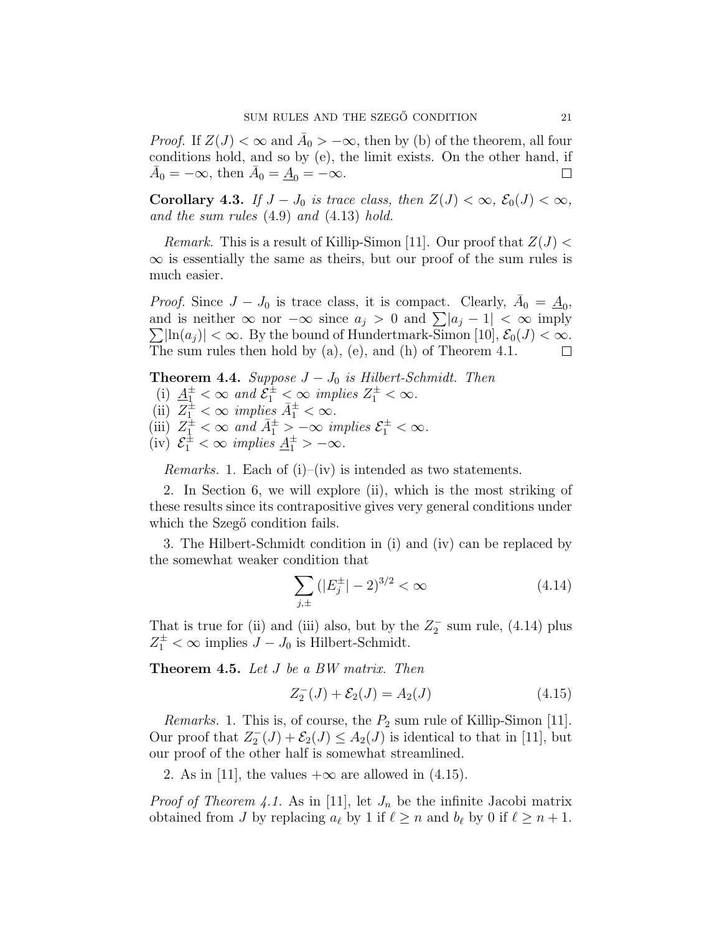*Proof.* If  $Z(J) < \infty$  and  $\overline{A}_0 > -\infty$ , then by (b) of the theorem, all four conditions hold, and so by (e), the limit exists. On the other hand, if  $\bar{A}_0 = -\infty$ , then  $\bar{A}_0 = \underline{A}_0 = -\infty$ .  $\Box$ 

Corollary 4.3. If  $J - J_0$  is trace class, then  $Z(J) < \infty$ ,  $\mathcal{E}_0(J) < \infty$ , and the sum rules (4.9) and (4.13) hold.

*Remark.* This is a result of Killip-Simon [11]. Our proof that  $Z(J)$  <  $\infty$  is essentially the same as theirs, but our proof of the sum rules is much easier.

*Proof.* Since  $J - J_0$  is trace class, it is compact. Clearly,  $\bar{A}_0 = \underline{A}_0$ , *Proof.* Since  $J - J_0$  is trace class, it is compact. Clearly,  $A_0 = \underline{A}_0$ ,<br>and is neither  $\infty$  nor  $-\infty$  since  $a_j > 0$  and  $\sum |a_j - 1| < \infty$  imply  $\sum_{i}$ [ln $(a_i)$ ] <  $\infty$ . By the bound of Hundertmark-Simon [10],  $\mathcal{E}_0(J)$  <  $\infty$ . The sum rules then hold by (a), (e), and (h) of Theorem 4.1.  $\Box$ 

**Theorem 4.4.** Suppose  $J - J_0$  is Hilbert-Schmidt. Then (i)  $\underline{A}_{1}^{\pm} < \infty$  and  $\overline{\mathcal{E}}_{1}^{\pm} < \infty$  implies  $Z_{1}^{\pm} < \infty$ . (ii)  $\overline{Z_1^{\pm}} < \infty$  implies  $\overline{A_1^{\pm}} < \infty$ . (iii)  $Z_1^{\pm} < \infty$  and  $\bar{A}_1^{\pm} > -\infty$  implies  $\mathcal{E}_1^{\pm} < \infty$ . (iv)  $\mathcal{E}_1^{\pm} < \infty$  implies  $\underline{A}_1^{\pm} > -\infty$ .

*Remarks.* 1. Each of  $(i)$ – $(iv)$  is intended as two statements.

2. In Section 6, we will explore (ii), which is the most striking of these results since its contrapositive gives very general conditions under which the Szegő condition fails.

3. The Hilbert-Schmidt condition in (i) and (iv) can be replaced by the somewhat weaker condition that

$$
\sum_{j,\pm} (|E_j^{\pm}| - 2)^{3/2} < \infty \tag{4.14}
$$

That is true for (ii) and (iii) also, but by the  $Z_2^-$  sum rule, (4.14) plus  $Z_1^{\pm} < \infty$  implies  $J - J_0$  is Hilbert-Schmidt.

Theorem 4.5. Let J be a BW matrix. Then

$$
Z_2^-(J) + \mathcal{E}_2(J) = A_2(J) \tag{4.15}
$$

*Remarks.* 1. This is, of course, the  $P_2$  sum rule of Killip-Simon [11]. Our proof that  $Z_2^-(J) + \mathcal{E}_2(J) \leq A_2(J)$  is identical to that in [11], but our proof of the other half is somewhat streamlined.

2. As in [11], the values  $+\infty$  are allowed in (4.15).

*Proof of Theorem 4.1.* As in [11], let  $J_n$  be the infinite Jacobi matrix obtained from J by replacing  $a_\ell$  by 1 if  $\ell \geq n$  and  $b_\ell$  by 0 if  $\ell \geq n + 1$ .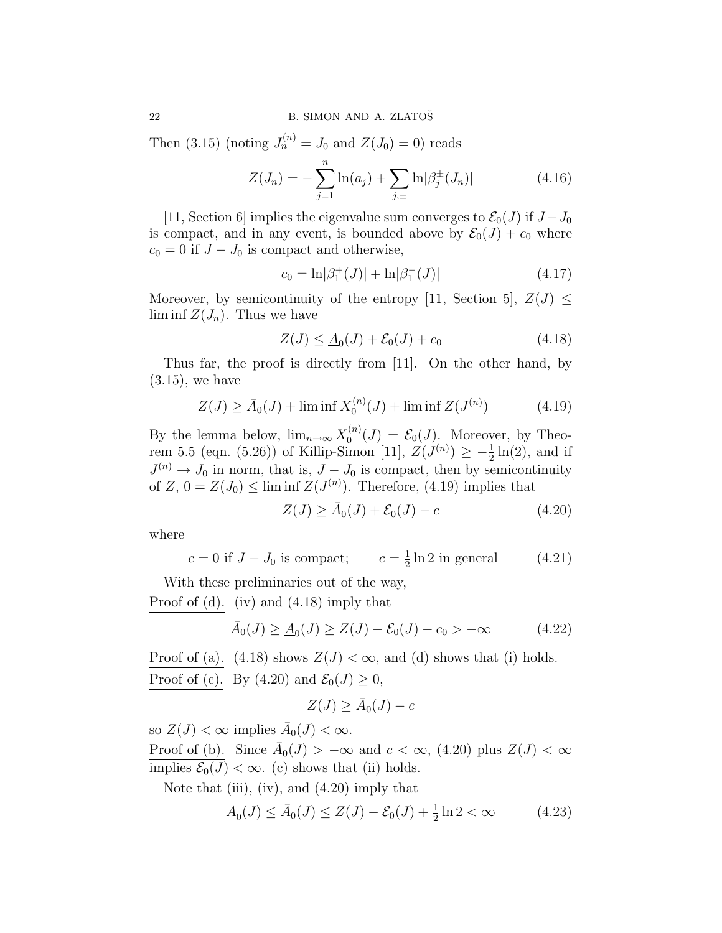Then (3.15) (noting  $J_n^{(n)} = J_0$  and  $Z(J_0) = 0$ ) reads

$$
Z(J_n) = -\sum_{j=1}^{n} \ln(a_j) + \sum_{j,\pm} \ln|\beta_j^{\pm}(J_n)| \tag{4.16}
$$

[11, Section 6] implies the eigenvalue sum converges to  $\mathcal{E}_0(J)$  if  $J-J_0$ is compact, and in any event, is bounded above by  $\mathcal{E}_0(J) + c_0$  where  $c_0 = 0$  if  $J - J_0$  is compact and otherwise,

$$
c_0 = \ln|\beta_1^+(J)| + \ln|\beta_1^-(J)| \tag{4.17}
$$

Moreover, by semicontinuity of the entropy [11, Section 5],  $Z(J) \leq$  $\liminf Z(J_n)$ . Thus we have

$$
Z(J) \le \underline{A}_0(J) + \mathcal{E}_0(J) + c_0 \tag{4.18}
$$

Thus far, the proof is directly from [11]. On the other hand, by  $(3.15)$ , we have

$$
Z(J) \ge \bar{A}_0(J) + \liminf X_0^{(n)}(J) + \liminf Z(J^{(n)})
$$
\n(4.19)

By the lemma below,  $\lim_{n\to\infty} X_0^{(n)}$  $\mathcal{E}_0^{(n)}(J) = \mathcal{E}_0(J)$ . Moreover, by Theorem 5.5 (eqn. (5.26)) of Killip-Simon [11],  $Z(J^{(n)}) \geq -\frac{1}{2}\ln(2)$ , and if  $J^{(n)} \to J_0$  in norm, that is,  $J - J_0$  is compact, then by semicontinuity of  $Z$ ,  $0 = Z(J_0) \le \liminf Z(J^{(n)})$ . Therefore, (4.19) implies that

$$
Z(J) \ge \bar{A}_0(J) + \mathcal{E}_0(J) - c \tag{4.20}
$$

where

$$
c = 0
$$
 if  $J - J_0$  is compact;  $c = \frac{1}{2} \ln 2$  in general (4.21)

With these preliminaries out of the way,

Proof of (d). (iv) and (4.18) imply that

$$
\bar{A}_0(J) \ge \underline{A}_0(J) \ge Z(J) - \mathcal{E}_0(J) - c_0 > -\infty
$$
 (4.22)

Proof of (a). (4.18) shows  $Z(J) < \infty$ , and (d) shows that (i) holds. Proof of (c). By (4.20) and  $\mathcal{E}_0(J) \geq 0$ ,

$$
Z(J) \ge \bar{A}_0(J) - c
$$

so  $Z(J) < \infty$  implies  $\bar{A}_0(J) < \infty$ .

Proof of (b). Since  $\overline{A}_0(J) > -\infty$  and  $c < \infty$ , (4.20) plus  $Z(J) < \infty$ implies  $\mathcal{E}_0(J) < \infty$ . (c) shows that (ii) holds.

Note that (iii), (iv), and  $(4.20)$  imply that

$$
\underline{A}_0(J) \le \bar{A}_0(J) \le Z(J) - \mathcal{E}_0(J) + \frac{1}{2}\ln 2 < \infty \tag{4.23}
$$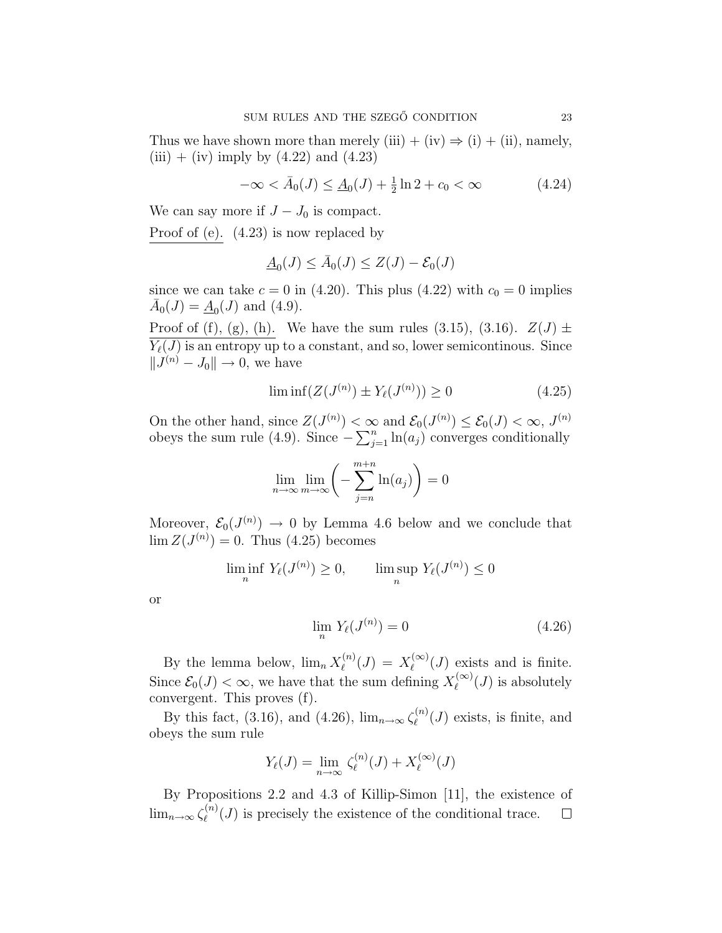Thus we have shown more than merely (iii) + (iv)  $\Rightarrow$  (i) + (ii), namely,  $(iii) + (iv)$  imply by  $(4.22)$  and  $(4.23)$ 

$$
-\infty < \bar{A}_0(J) \le \underline{A}_0(J) + \frac{1}{2}\ln 2 + c_0 < \infty
$$
\n(4.24)

We can say more if  $J - J_0$  is compact.

Proof of (e). (4.23) is now replaced by

$$
\underline{A}_0(J) \le \bar{A}_0(J) \le Z(J) - \mathcal{E}_0(J)
$$

since we can take  $c = 0$  in (4.20). This plus (4.22) with  $c_0 = 0$  implies  $\bar{A}_0(J) = \underline{A}_0(J)$  and (4.9).

Proof of (f), (g), (h). We have the sum rules (3.15), (3.16).  $Z(J) \pm$  $\overline{Y_{\ell}(J)}$  is an entropy up to a constant, and so, lower semicontinous. Since  $||J^{(n)} - J_0|| \rightarrow 0$ , we have

$$
\liminf (Z(J^{(n)}) \pm Y_{\ell}(J^{(n)})) \ge 0 \tag{4.25}
$$

On the other hand, since  $Z(J^{(n)}) < \infty$  and  $\mathcal{E}_0(J^{(n)}) \leq \mathcal{E}_0(J) < \infty$ ,  $J^{(n)}$ On the other hand, since  $\angle (J^{\wedge n}) \leq \infty$ <br>obeys the sum rule (4.9). Since  $-\sum_{i=1}^{n}$  $\prod_{j=1}^{n} \ln(a_j)$  converges conditionally

$$
\lim_{n \to \infty} \lim_{m \to \infty} \left( -\sum_{j=n}^{m+n} \ln(a_j) \right) = 0
$$

Moreover,  $\mathcal{E}_0(J^{(n)}) \to 0$  by Lemma 4.6 below and we conclude that  $\lim Z(J^{(n)}) = 0$ . Thus (4.25) becomes

$$
\liminf_{n} Y_{\ell}(J^{(n)}) \ge 0, \qquad \limsup_{n} Y_{\ell}(J^{(n)}) \le 0
$$

or

$$
\lim_{n} Y_{\ell}(J^{(n)}) = 0 \tag{4.26}
$$

By the lemma below,  $\lim_{n} X_{\ell}^{(n)}$  $\chi_{\ell}^{(n)}(J) = X_{\ell}^{(\infty)}$  $\binom{(\infty)}{\ell}(J)$  exists and is finite. Since  $\mathcal{E}_0(J) < \infty$ , we have that the sum defining  $X_{\ell}^{(\infty)}$  $\ell^{(\infty)}(J)$  is absolutely convergent. This proves (f).

By this fact, (3.16), and (4.26),  $\lim_{n\to\infty} \zeta_{\ell}^{(n)}$  $\ell^{(n)}(J)$  exists, is finite, and obeys the sum rule

$$
Y_{\ell}(J) = \lim_{n \to \infty} \zeta_{\ell}^{(n)}(J) + X_{\ell}^{(\infty)}(J)
$$

By Propositions 2.2 and 4.3 of Killip-Simon [11], the existence of  $\lim_{n\to\infty}\zeta_{\ell}^{(n)}$  $\ell^{(n)}(J)$  is precisely the existence of the conditional trace.  $\Box$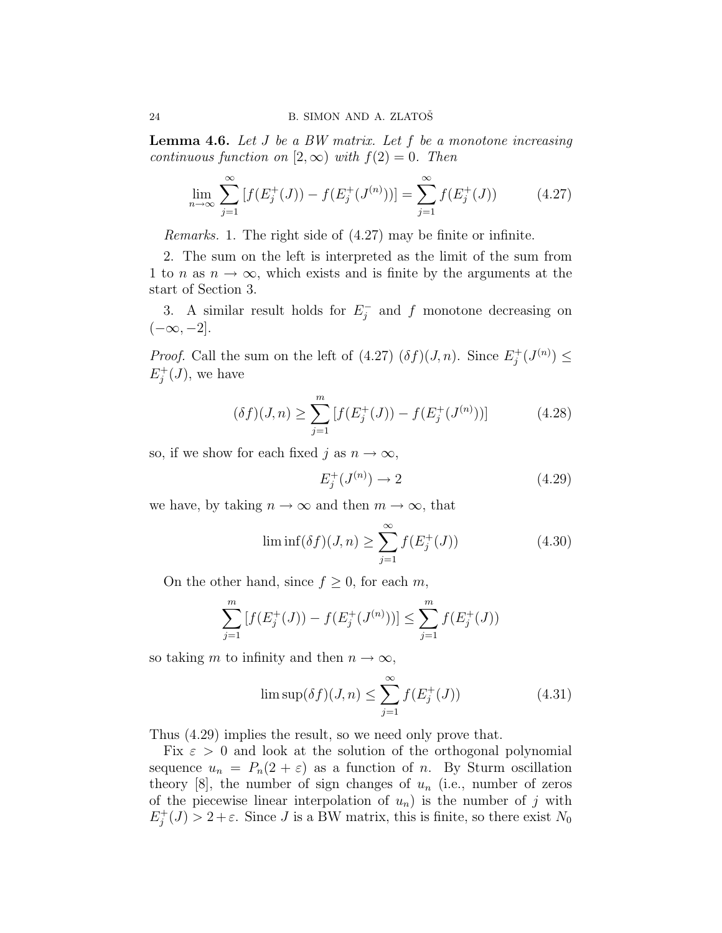**Lemma 4.6.** Let  $J$  be a BW matrix. Let  $f$  be a monotone increasing continuous function on  $[2, \infty)$  with  $f(2) = 0$ . Then

$$
\lim_{n \to \infty} \sum_{j=1}^{\infty} \left[ f(E_j^+(J)) - f(E_j^+(J^{(n)})) \right] = \sum_{j=1}^{\infty} f(E_j^+(J)) \tag{4.27}
$$

Remarks. 1. The right side of (4.27) may be finite or infinite.

2. The sum on the left is interpreted as the limit of the sum from 1 to n as  $n \to \infty$ , which exists and is finite by the arguments at the start of Section 3.

3. A similar result holds for  $E_i^$  $j<sub>j</sub>$  and f monotone decreasing on  $(-\infty, -2]$ .

*Proof.* Call the sum on the left of  $(4.27)$   $(\delta f)(J, n)$ . Since  $E_i^+$  $j^{+}(J^{(n)}) \leq$  $E_i^+$  $j^+(J)$ , we have

$$
(\delta f)(J, n) \ge \sum_{j=1}^{m} \left[ f(E_j^+(J)) - f(E_j^+(J^{(n)})) \right] \tag{4.28}
$$

so, if we show for each fixed j as  $n \to \infty$ ,

$$
E_j^+(J^{(n)}) \to 2 \tag{4.29}
$$

we have, by taking  $n \to \infty$  and then  $m \to \infty$ , that

$$
\liminf(\delta f)(J,n) \ge \sum_{j=1}^{\infty} f(E_j^+(J))
$$
\n(4.30)

On the other hand, since  $f \geq 0$ , for each m,

$$
\sum_{j=1}^{m} \left[ f(E_j^+(J)) - f(E_j^+(J^{(n)})) \right] \le \sum_{j=1}^{m} f(E_j^+(J))
$$

so taking m to infinity and then  $n \to \infty$ ,

$$
\limsup(\delta f)(J,n) \le \sum_{j=1}^{\infty} f(E_j^+(J)) \tag{4.31}
$$

Thus (4.29) implies the result, so we need only prove that.

Fix  $\varepsilon > 0$  and look at the solution of the orthogonal polynomial sequence  $u_n = P_n(2 + \varepsilon)$  as a function of n. By Sturm oscillation theory [8], the number of sign changes of  $u_n$  (i.e., number of zeros of the piecewise linear interpolation of  $u_n$ ) is the number of j with  $E_i^+$  $j^+(J) > 2+\varepsilon$ . Since J is a BW matrix, this is finite, so there exist  $N_0$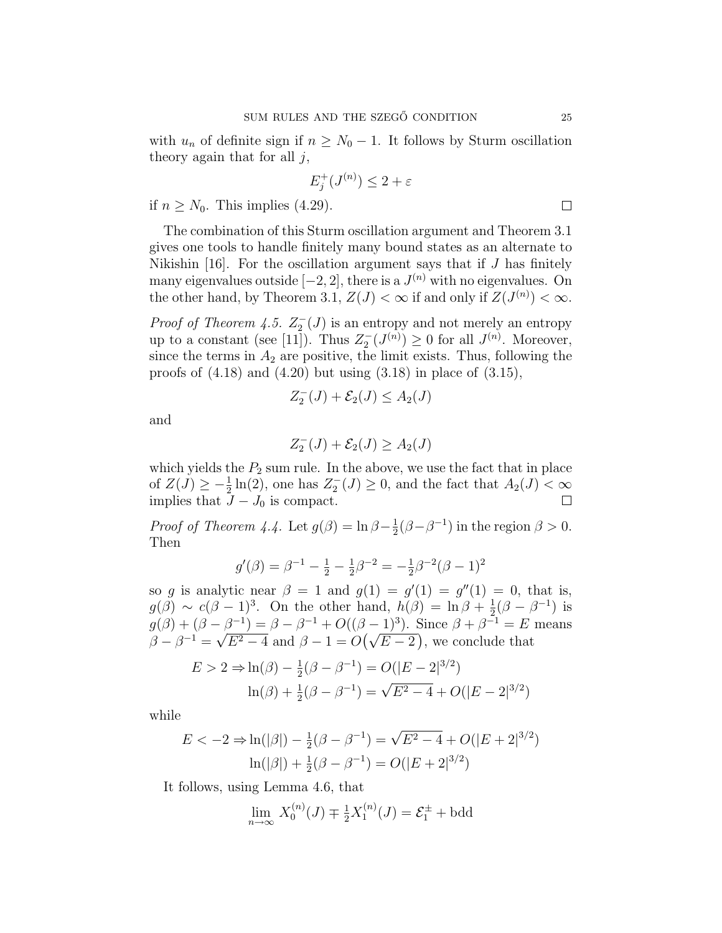with  $u_n$  of definite sign if  $n \geq N_0 - 1$ . It follows by Sturm oscillation theory again that for all  $j$ ,

$$
E_j^+(J^{(n)}) \le 2 + \varepsilon
$$

if  $n \geq N_0$ . This implies (4.29).

The combination of this Sturm oscillation argument and Theorem 3.1 gives one tools to handle finitely many bound states as an alternate to Nikishin [16]. For the oscillation argument says that if  $J$  has finitely many eigenvalues outside  $[-2, 2]$ , there is a  $J^{(n)}$  with no eigenvalues. On the other hand, by Theorem 3.1,  $Z(J) < \infty$  if and only if  $Z(J^{(n)}) < \infty$ .

*Proof of Theorem 4.5.*  $Z_2^-(J)$  is an entropy and not merely an entropy up to a constant (see [11]). Thus  $Z_2^-(J^{(n)}) \geq 0$  for all  $J^{(n)}$ . Moreover, since the terms in  $A_2$  are positive, the limit exists. Thus, following the proofs of  $(4.18)$  and  $(4.20)$  but using  $(3.18)$  in place of  $(3.15)$ ,

$$
Z_2^-(J) + \mathcal{E}_2(J) \le A_2(J)
$$

and

$$
Z_2^-(J) + \mathcal{E}_2(J) \ge A_2(J)
$$

which yields the  $P_2$  sum rule. In the above, we use the fact that in place of  $Z(\tilde{J}) \geq -\frac{1}{2}\ln(2)$ , one has  $Z_2^{-}(J) \geq 0$ , and the fact that  $A_2(J) < \infty$ implies that  $J-J_0$  is compact.  $\Box$ 

*Proof of Theorem 4.4.* Let  $g(\beta) = \ln \beta - \frac{1}{2}$  $\frac{1}{2}(\beta - \beta^{-1})$  in the region  $\beta > 0$ . Then

$$
g'(\beta) = \beta^{-1} - \frac{1}{2} - \frac{1}{2}\beta^{-2} = -\frac{1}{2}\beta^{-2}(\beta - 1)^2
$$

so g is analytic near  $\beta = 1$  and  $g(1) = g'(1) = g''(1) = 0$ , that is,  $g(\beta) \sim c(\beta - 1)^3$ . On the other hand,  $h(\beta) = \ln \beta + \frac{1}{2}$  $\frac{1}{2}(\beta - \beta^{-1})$  is  $g(\beta) + (\beta - \beta^{-1}) = \beta - \beta^{-1} + O((\beta - 1)^3)$ . Since  $\beta + \beta^{-1} = E$  means  $\beta - \beta^{-1} =$ √  $E^2-4$  and  $\beta-1=O$ ¡√  $E - 2$ ⊃<br>∖ , we conclude that

$$
E > 2 \Rightarrow \ln(\beta) - \frac{1}{2}(\beta - \beta^{-1}) = O(|E - 2|^{3/2})
$$

$$
\ln(\beta) + \frac{1}{2}(\beta - \beta^{-1}) = \sqrt{E^2 - 4} + O(|E - 2|^{3/2})
$$

while

$$
E < -2 \Rightarrow \ln(|\beta|) - \frac{1}{2}(\beta - \beta^{-1}) = \sqrt{E^2 - 4} + O(|E + 2|^{3/2})
$$

$$
\ln(|\beta|) + \frac{1}{2}(\beta - \beta^{-1}) = O(|E + 2|^{3/2})
$$

It follows, using Lemma 4.6, that

$$
\lim_{n \to \infty} X_0^{(n)}(J) \mp \frac{1}{2} X_1^{(n)}(J) = \mathcal{E}_1^{\pm} + \text{bdd}
$$

 $\Box$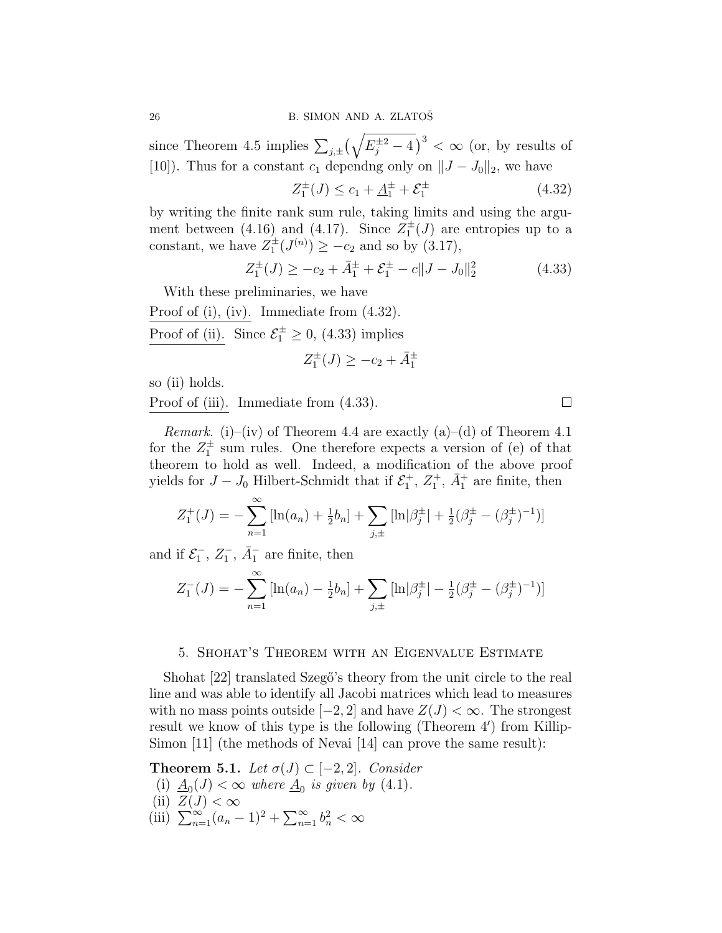since Theorem 4.5 implies  $\sum_{j,\pm}$  $\sqrt{ }$  $E_j^{\pm 2} - 4$  $\int^3 < \infty$  (or, by results of [10]). Thus for a constant  $c_1$  dependng only on  $||J - J_0||_2$ , we have

$$
Z_1^{\pm}(J) \le c_1 + \underline{A}_1^{\pm} + \mathcal{E}_1^{\pm}
$$
\n(4.32)

by writing the finite rank sum rule, taking limits and using the argument between (4.16) and (4.17). Since  $Z_1^{\pm}(J)$  are entropies up to a constant, we have  $Z_1^{\pm}(J^{(n)}) \geq -c_2$  and so by (3.17),

$$
Z_1^{\pm}(J) \ge -c_2 + \bar{A}_1^{\pm} + \mathcal{E}_1^{\pm} - c \| J - J_0 \|_2^2 \tag{4.33}
$$

With these preliminaries, we have

Proof of (i), (iv). Immediate from (4.32).

Proof of (ii). Since  $\mathcal{E}_1^{\pm} \geq 0$ , (4.33) implies

$$
Z_1^\pm(J)\geq -c_2+\bar A_1^\pm
$$

so (ii) holds.

Proof of (iii). Immediate from (4.33).

*Remark.* (i)–(iv) of Theorem 4.4 are exactly (a)–(d) of Theorem 4.1 for the  $Z_1^{\pm}$  sum rules. One therefore expects a version of (e) of that theorem to hold as well. Indeed, a modification of the above proof yields for  $J - J_0$  Hilbert-Schmidt that if  $\mathcal{E}_1^+$ ,  $Z_1^+$ ,  $\bar{A}_1^+$  are finite, then

$$
Z_1^+(J) = -\sum_{n=1}^{\infty} \left[ \ln(a_n) + \frac{1}{2}b_n \right] + \sum_{j,\pm} \left[ \ln|\beta_j^{\pm}| + \frac{1}{2}(\beta_j^{\pm} - (\beta_j^{\pm})^{-1}) \right]
$$

and if  $\mathcal{E}_1^-$ ,  $\bar{A}_1^-$ ,  $\bar{A}_1^-$  are finite, then

$$
Z_1^-(J) = -\sum_{n=1}^{\infty} \left[ \ln(a_n) - \frac{1}{2}b_n \right] + \sum_{j,\pm} \left[ \ln|\beta_j^{\pm}| - \frac{1}{2}(\beta_j^{\pm} - (\beta_j^{\pm})^{-1}) \right]
$$

### 5. Shohat's Theorem with an Eigenvalue Estimate

Shohat [22] translated Szegő's theory from the unit circle to the real line and was able to identify all Jacobi matrices which lead to measures with no mass points outside  $[-2, 2]$  and have  $Z(J) < \infty$ . The strongest result we know of this type is the following (Theorem  $4'$ ) from Killip-Simon [11] (the methods of Nevai [14] can prove the same result):

**Theorem 5.1.** Let  $\sigma(J) \subset [-2,2]$ . Consider

- (i)  $\underline{A}_0(J) < \infty$  where  $\underline{A}_0$  is given by (4.1).
- 
- (ii)  $Z(J) < \infty$ <br>(iii)  $\sum_{n=1}^{\infty} (a_n 1)^2 + \sum_{n=1}^{\infty}$  $\sum_{n=1}^{\infty} b_n^2 < \infty$

 $\Box$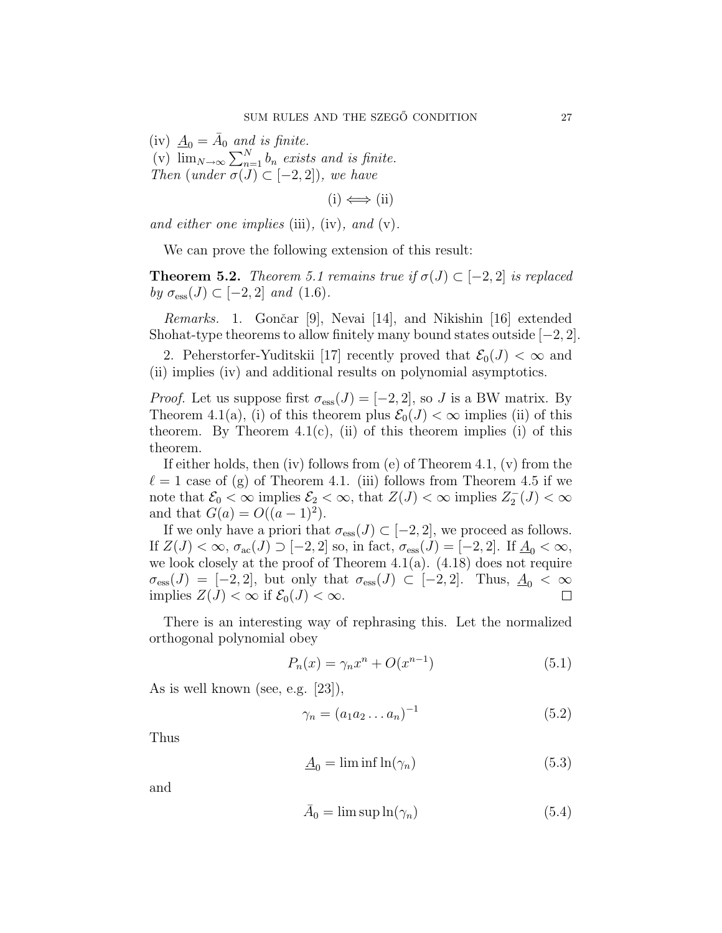(iv)  $\underline{A}_0 = \overline{A}_0$  and is finite. (v)  $\lim_{N\to\infty} \sum_{n=1}^{N} b_n$  exists and is finite. Then (under  $\sigma(J) \subset [-2,2]$ ), we have

 $(i) \iff (ii)$ 

and either one implies (iii), (iv), and (v).

We can prove the following extension of this result:

**Theorem 5.2.** Theorem 5.1 remains true if  $\sigma(J) \subset [-2,2]$  is replaced by  $\sigma_{\rm ess}(J) \subset [-2,2]$  and  $(1.6)$ .

Remarks. 1. Gončar [9], Nevai [14], and Nikishin [16] extended Shohat-type theorems to allow finitely many bound states outside  $[-2, 2]$ .

2. Peherstorfer-Yuditskii [17] recently proved that  $\mathcal{E}_0(J) < \infty$  and (ii) implies (iv) and additional results on polynomial asymptotics.

*Proof.* Let us suppose first  $\sigma_{\text{ess}}(J) = [-2, 2]$ , so J is a BW matrix. By Theorem 4.1(a), (i) of this theorem plus  $\mathcal{E}_0(J) < \infty$  implies (ii) of this theorem. By Theorem  $4.1(c)$ , (ii) of this theorem implies (i) of this theorem.

If either holds, then (iv) follows from (e) of Theorem 4.1, (v) from the  $\ell = 1$  case of (g) of Theorem 4.1. (iii) follows from Theorem 4.5 if we note that  $\mathcal{E}_0 < \infty$  implies  $\mathcal{E}_2 < \infty$ , that  $Z(J) < \infty$  implies  $Z_2^-(J) < \infty$ and that  $G(a) = O((a-1)^2)$ .

If we only have a priori that  $\sigma_{\text{ess}}(J) \subset [-2,2]$ , we proceed as follows. If  $Z(J) < \infty$ ,  $\sigma_{\text{ac}}(J) \supset [-2, 2]$  so, in fact,  $\sigma_{\text{ess}}(J) = [-2, 2]$ . If  $\underline{A}_0 < \infty$ , we look closely at the proof of Theorem 4.1(a).  $(4.18)$  does not require  $\sigma_{\rm ess}(J) = [-2, 2]$ , but only that  $\sigma_{\rm ess}(J) \subset [-2, 2]$ . Thus,  $\underline{A}_0 < \infty$ implies  $Z(J) < \infty$  if  $\mathcal{E}_0(J) < \infty$ .  $\Box$ 

There is an interesting way of rephrasing this. Let the normalized orthogonal polynomial obey

$$
P_n(x) = \gamma_n x^n + O(x^{n-1})
$$
\n
$$
(5.1)
$$

As is well known (see, e.g. [23]),

$$
\gamma_n = (a_1 a_2 \dots a_n)^{-1} \tag{5.2}
$$

Thus

$$
\underline{A}_0 = \liminf \ln(\gamma_n) \tag{5.3}
$$

and

$$
\bar{A}_0 = \limsup \ln(\gamma_n) \tag{5.4}
$$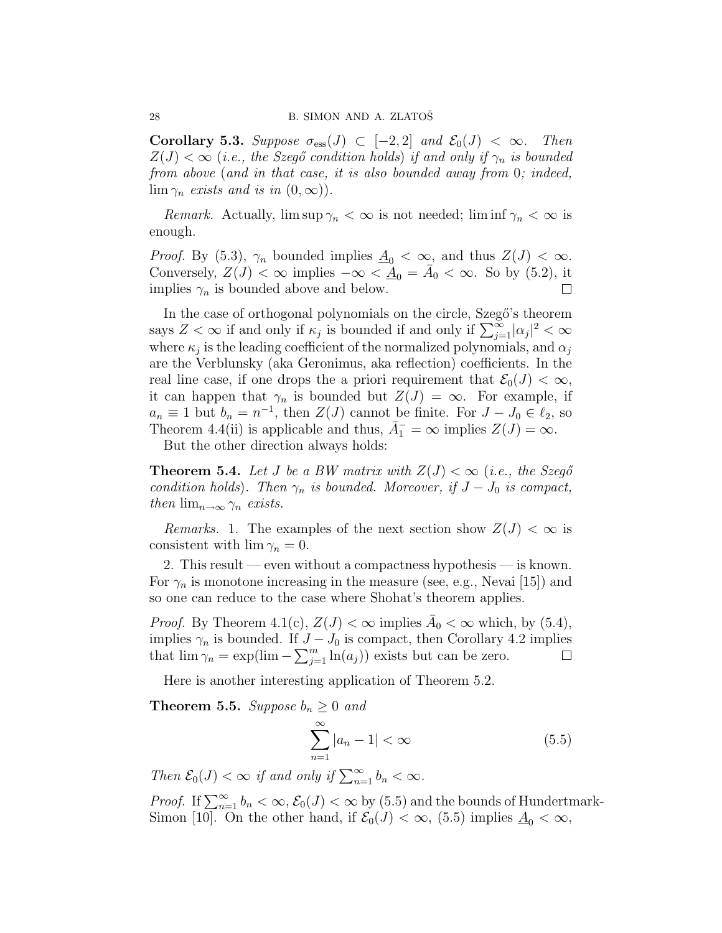Corollary 5.3. Suppose  $\sigma_{\text{ess}}(J) \subset [-2,2]$  and  $\mathcal{E}_0(J) < \infty$ . Then  $Z(J) < \infty$  (i.e., the Szegő condition holds) if and only if  $\gamma_n$  is bounded from above (and in that case, it is also bounded away from 0; indeed,  $\lim_{n \to \infty}$  exists and is in  $(0, \infty)$ ).

*Remark.* Actually,  $\limsup \gamma_n < \infty$  is not needed;  $\liminf \gamma_n < \infty$  is enough.

*Proof.* By (5.3),  $\gamma_n$  bounded implies  $\underline{A}_0 < \infty$ , and thus  $Z(J) < \infty$ . Conversely,  $Z(J) \sim \infty$  implies  $-\infty < \underline{A}_0 = \overline{A}_0 < \infty$ . So by (5.2), it implies  $\gamma_n$  is bounded above and below.

In the case of orthogonal polynomials on the circle, Szegő's theorem In the case of orthogonal polynomials on the circle, szego s theorem<br>says  $Z < \infty$  if and only if  $\kappa_j$  is bounded if and only if  $\sum_{j=1}^{\infty} |\alpha_j|^2 < \infty$ where  $\kappa_j$  is the leading coefficient of the normalized polynomials, and  $\alpha_j$ are the Verblunsky (aka Geronimus, aka reflection) coefficients. In the real line case, if one drops the a priori requirement that  $\mathcal{E}_0(J) < \infty$ , it can happen that  $\gamma_n$  is bounded but  $Z(J) = \infty$ . For example, if  $a_n \equiv 1$  but  $b_n = n^{-1}$ , then  $Z(J)$  cannot be finite. For  $J - J_0 \in \ell_2$ , so Theorem 4.4(ii) is applicable and thus,  $\bar{A}_1^- = \infty$  implies  $Z(J) = \infty$ .

But the other direction always holds:

**Theorem 5.4.** Let J be a BW matrix with  $Z(J) < \infty$  (i.e., the Szegő condition holds). Then  $\gamma_n$  is bounded. Moreover, if  $J-J_0$  is compact, then  $\lim_{n\to\infty} \gamma_n$  exists.

*Remarks.* 1. The examples of the next section show  $Z(J) < \infty$  is consistent with  $\lim \gamma_n = 0$ .

2. This result — even without a compactness hypothesis — is known. For  $\gamma_n$  is monotone increasing in the measure (see, e.g., Nevai [15]) and so one can reduce to the case where Shohat's theorem applies.

*Proof.* By Theorem 4.1(c),  $Z(J) < \infty$  implies  $\overline{A}_0 < \infty$  which, by (5.4), implies  $\gamma_n$  is bounded. If  $J - J_0$  is compact, then Corollary 4.2 implies implies  $\gamma_n$  is bounded. If J -<br>that  $\lim \gamma_n = \exp(\lim -\sum_{i=1}^m$  $_{j=1}^{m}$  ln $(a_j)$ ) exists but can be zero.

Here is another interesting application of Theorem 5.2.

**Theorem 5.5.** Suppose  $b_n \geq 0$  and

$$
\sum_{n=1}^{\infty} |a_n - 1| < \infty \tag{5.5}
$$

Then  $\mathcal{E}_0(J) < \infty$  if and only if  $\sum_{n=1}^{\infty} b_n < \infty$ .

Proof. If  $\sum_{n=1}^{\infty} b_n < \infty$ ,  $\mathcal{E}_0(J) < \infty$  by (5.5) and the bounds of Hundertmark-Simon [10]. On the other hand, if  $\mathcal{E}_0(J) < \infty$ , (5.5) implies  $\underline{A}_0 < \infty$ ,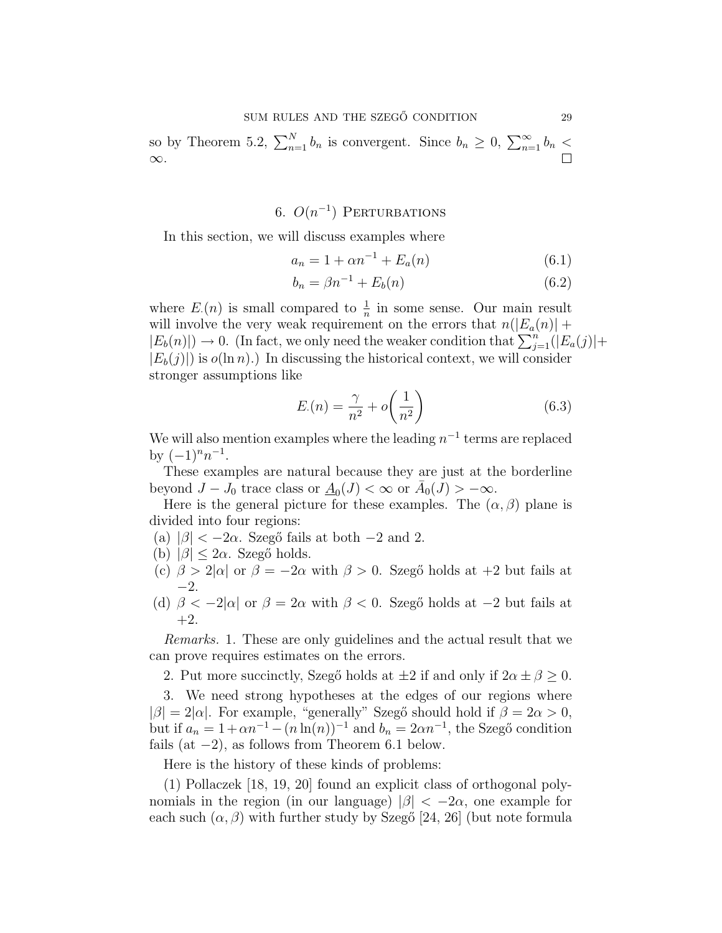so by Theorem 5.2,  $\sum_{n=1}^{N} b_n$  is convergent. Since  $b_n \geq 0$ ,  $\sum_{n=1}^{\infty} b_n <$ ∞.

# 6.  $O(n^{-1})$  PERTURBATIONS

In this section, we will discuss examples where

$$
a_n = 1 + \alpha n^{-1} + E_a(n) \tag{6.1}
$$

$$
b_n = \beta n^{-1} + E_b(n) \tag{6.2}
$$

where  $E(n)$  is small compared to  $\frac{1}{n}$  in some sense. Our main result will involve the very weak requirement on the errors that  $n(|E_a(n)| +$ will involve the very weak requirement on the errors that  $n(|E_a(n)| + |E_b(n)|) \to 0$ . (In fact, we only need the weaker condition that  $\sum_{j=1}^n (|E_a(j)| +$  $|E_b(j)|$  is  $o(\ln n)$ .) In discussing the historical context, we will consider stronger assumptions like

$$
E(n) = \frac{\gamma}{n^2} + o\left(\frac{1}{n^2}\right)
$$
 (6.3)

We will also mention examples where the leading  $n^{-1}$  terms are replaced by  $(-1)^n n^{-1}$ .

These examples are natural because they are just at the borderline beyond  $J - J_0$  trace class or  $\underline{A}_0(J) < \infty$  or  $\overline{A}_0(J) > -\infty$ .

Here is the general picture for these examples. The  $(\alpha, \beta)$  plane is divided into four regions:

- (a)  $|\beta| < -2\alpha$ . Szegő fails at both  $-2$  and 2.
- (b)  $|\beta| \leq 2\alpha$ . Szegő holds.
- (c)  $\beta > 2|\alpha|$  or  $\beta = -2\alpha$  with  $\beta > 0$ . Szegő holds at +2 but fails at  $-2.$
- (d)  $\beta < -2|\alpha|$  or  $\beta = 2\alpha$  with  $\beta < 0$ . Szegő holds at  $-2$  but fails at  $+2.$

Remarks. 1. These are only guidelines and the actual result that we can prove requires estimates on the errors.

2. Put more succinctly, Szegő holds at  $\pm 2$  if and only if  $2\alpha \pm \beta \geq 0$ .

3. We need strong hypotheses at the edges of our regions where  $|\beta| = 2|\alpha|$ . For example, "generally" Szegő should hold if  $\beta = 2\alpha > 0$ , but if  $a_n = 1 + \alpha n^{-1} - (n \ln(n))^{-1}$  and  $b_n = 2\alpha n^{-1}$ , the Szegő condition fails (at  $-2$ ), as follows from Theorem 6.1 below.

Here is the history of these kinds of problems:

(1) Pollaczek [18, 19, 20] found an explicit class of orthogonal polynomials in the region (in our language)  $|\beta| < -2\alpha$ , one example for each such  $(\alpha, \beta)$  with further study by Szegő [24, 26] (but note formula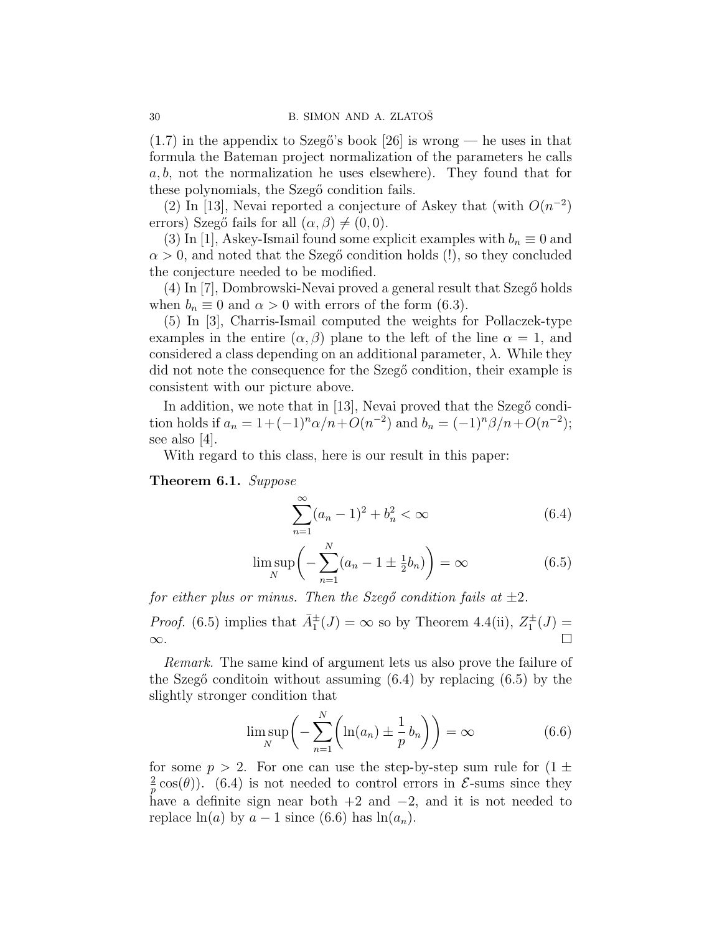$(1.7)$  in the appendix to Szegő's book [26] is wrong — he uses in that formula the Bateman project normalization of the parameters he calls a, b, not the normalization he uses elsewhere). They found that for these polynomials, the Szegő condition fails.

(2) In [13], Nevai reported a conjecture of Askey that (with  $O(n^{-2})$ ) errors) Szegő fails for all  $(\alpha, \beta) \neq (0, 0)$ .

(3) In [1], Askey-Ismail found some explicit examples with  $b_n \equiv 0$  and  $\alpha > 0$ , and noted that the Szegő condition holds (!), so they concluded the conjecture needed to be modified.

 $(4)$  In [7], Dombrowski-Nevai proved a general result that Szegő holds when  $b_n \equiv 0$  and  $\alpha > 0$  with errors of the form (6.3).

(5) In [3], Charris-Ismail computed the weights for Pollaczek-type examples in the entire  $(\alpha, \beta)$  plane to the left of the line  $\alpha = 1$ , and considered a class depending on an additional parameter,  $\lambda$ . While they did not note the consequence for the Szegő condition, their example is consistent with our picture above.

In addition, we note that in [13], Nevai proved that the Szegő condition holds if  $a_n = 1 + (-1)^n \alpha/n + O(n^{-2})$  and  $b_n = (-1)^n \beta/n + O(n^{-2})$ ; see also [4].

With regard to this class, here is our result in this paper:

Theorem 6.1. Suppose

$$
\sum_{n=1}^{\infty} (a_n - 1)^2 + b_n^2 < \infty \tag{6.4}
$$

$$
\limsup_{N} \left( -\sum_{n=1}^{N} (a_n - 1 \pm \frac{1}{2} b_n) \right) = \infty
$$
 (6.5)

for either plus or minus. Then the Szegő condition fails at  $\pm 2$ .

*Proof.* (6.5) implies that  $\bar{A}_{1}^{\pm}(J) = \infty$  so by Theorem 4.4(ii),  $Z_{1}^{\pm}(J) =$ ∞.

Remark. The same kind of argument lets us also prove the failure of the Szegő conditoin without assuming  $(6.4)$  by replacing  $(6.5)$  by the slightly stronger condition that

$$
\limsup_{N} \left( -\sum_{n=1}^{N} \left( \ln(a_n) \pm \frac{1}{p} b_n \right) \right) = \infty \tag{6.6}
$$

for some  $p > 2$ . For one can use the step-by-step sum rule for  $(1 \pm$ 2  $\frac{2}{p}$  cos( $\theta$ )). (6.4) is not needed to control errors in  $\mathcal{E}$ -sums since they have a definite sign near both  $+2$  and  $-2$ , and it is not needed to replace  $ln(a)$  by  $a - 1$  since (6.6) has  $ln(a_n)$ .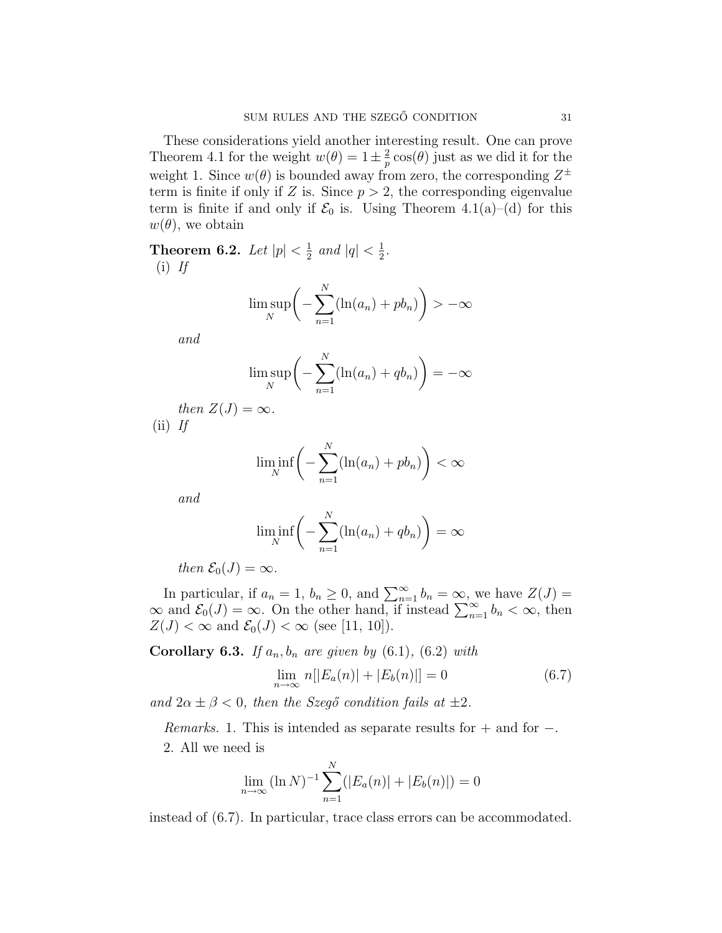These considerations yield another interesting result. One can prove Theorem 4.1 for the weight  $w(\theta) = 1 \pm \frac{2}{n}$  $\frac{2}{p}$  cos( $\theta$ ) just as we did it for the weight 1. Since  $w(\theta)$  is bounded away from zero, the corresponding  $Z^{\pm}$ term is finite if only if Z is. Since  $p > 2$ , the corresponding eigenvalue term is finite if and only if  $\mathcal{E}_0$  is. Using Theorem 4.1(a)–(d) for this  $w(\theta)$ , we obtain

Theorem 6.2. Let  $|p| < \frac{1}{2}$  $\frac{1}{2}$  and  $|q| < \frac{1}{2}$  $\frac{1}{2}$ .  $(i)$  If

$$
\limsup_{N}\bigg(-\sum_{n=1}^{N}(\ln(a_n)+pb_n)\bigg)>-\infty
$$

and

$$
\limsup_{N} \bigg(-\sum_{n=1}^{N} (\ln(a_n) + qb_n)\bigg) = -\infty
$$

then  $Z(J) = \infty$ .  $(ii)$  If

$$
\liminf_{N} \bigg(-\sum_{n=1}^{N} (\ln(a_n) + pb_n)\bigg) < \infty
$$

and

$$
\liminf_{N} \bigg(-\sum_{n=1}^{N} (\ln(a_n) + qb_n)\bigg) = \infty
$$

then  $\mathcal{E}_0(J) = \infty$ .

In particular, if  $a_n = 1$ ,  $b_n \ge 0$ , and  $\sum_{n=1}^{\infty} b_n = \infty$ , we have  $Z(J) = \infty$  and  $\mathcal{E}_0(J) = \infty$ . On the other hand, if instead  $\sum_{n=1}^{\infty} b_n < \infty$ , then  $Z(J) < \infty$  and  $\mathcal{E}_0(J) < \infty$  (see [11, 10]).

Corollary 6.3. If  $a_n, b_n$  are given by  $(6.1)$ ,  $(6.2)$  with

$$
\lim_{n \to \infty} n[|E_a(n)| + |E_b(n)|] = 0 \tag{6.7}
$$

and  $2\alpha \pm \beta < 0$ , then the Szegő condition fails at  $\pm 2$ .

*Remarks.* 1. This is intended as separate results for  $+$  and for  $-$ . 2. All we need is

$$
\lim_{n \to \infty} (\ln N)^{-1} \sum_{n=1}^{N} (|E_a(n)| + |E_b(n)|) = 0
$$

instead of (6.7). In particular, trace class errors can be accommodated.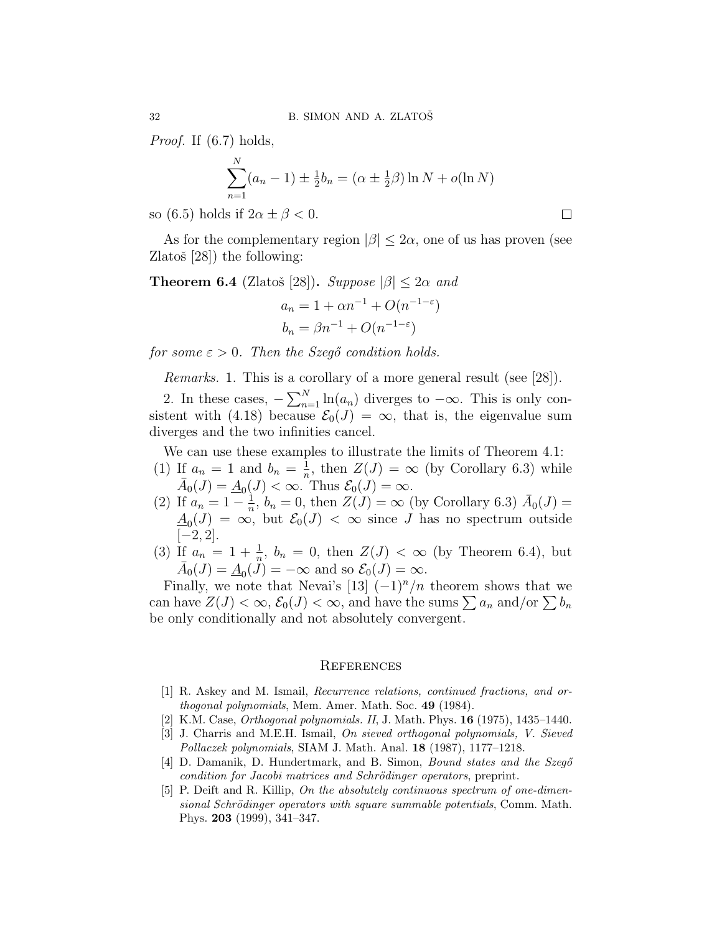Proof. If (6.7) holds,

$$
\sum_{n=1}^{N} (a_n - 1) \pm \frac{1}{2} b_n = (\alpha \pm \frac{1}{2}\beta) \ln N + o(\ln N)
$$

so (6.5) holds if  $2\alpha \pm \beta < 0$ .

As for the complementary region  $|\beta|$  < 2 $\alpha$ , one of us has proven (see Zlatoš  $[28]$ ) the following:

**Theorem 6.4** (Zlatoš [28]). Suppose 
$$
|\beta| \leq 2\alpha
$$
 and

$$
a_n = 1 + \alpha n^{-1} + O(n^{-1-\epsilon})
$$
  

$$
b_n = \beta n^{-1} + O(n^{-1-\epsilon})
$$

for some  $\varepsilon > 0$ . Then the Szegő condition holds.

Remarks. 1. This is a corollary of a more general result (see [28]).

2. In these cases,  $-\sum_{n=1}^{N}$  $\lim_{n=1}^{N} \ln(a_n)$  diverges to  $-\infty$ . This is only consistent with (4.18) because  $\mathcal{E}_0(J) = \infty$ , that is, the eigenvalue sum diverges and the two infinities cancel.

We can use these examples to illustrate the limits of Theorem 4.1: (1) If  $a_n = 1$  and  $b_n = \frac{1}{n}$ 

- $\frac{1}{n}$ , then  $Z(J) = \infty$  (by Corollary 6.3) while  $\bar{A}_0(J) = \underline{A}_0(J) < \infty$ . Thus  $\mathcal{E}_0(J) = \infty$ .
- (2) If  $a_n = 1 \frac{1}{n}$  $\frac{1}{n}$ ,  $b_n = 0$ , then  $Z(J) = \infty$  (by Corollary 6.3)  $\bar{A}_0(J) =$  $\underline{A}_0(J) = \infty$ , but  $\mathcal{E}_0(J) < \infty$  since J has no spectrum outside  $[-2, 2]$ .
- (3) If  $a_n = 1 + \frac{1}{n}$ ,  $b_n = 0$ , then  $Z(J) < \infty$  (by Theorem 6.4), but  $\bar{A}_0(J) = \underline{A}_0(\ddot{J}) = -\infty$  and so  $\mathcal{E}_0(J) = \infty$ .

Finally, we note that Nevai's [13]  $(-1)^n/n$  theorem shows that we can have  $Z(J) < \infty$ ,  $\mathcal{E}_0(J) < \infty$ , and have the sums  $\sum a_n$  and/or  $\sum b_n$ be only conditionally and not absolutely convergent.

### **REFERENCES**

- [1] R. Askey and M. Ismail, Recurrence relations, continued fractions, and orthogonal polynomials, Mem. Amer. Math. Soc. 49 (1984).
- [2] K.M. Case, Orthogonal polynomials. II, J. Math. Phys. 16 (1975), 1435–1440.
- [3] J. Charris and M.E.H. Ismail, On sieved orthogonal polynomials, V. Sieved Pollaczek polynomials, SIAM J. Math. Anal. 18 (1987), 1177–1218.
- [4] D. Damanik, D. Hundertmark, and B. Simon, *Bound states and the Szego* condition for Jacobi matrices and Schrödinger operators, preprint.
- [5] P. Deift and R. Killip, On the absolutely continuous spectrum of one-dimensional Schrödinger operators with square summable potentials, Comm. Math. Phys. 203 (1999), 341–347.

 $\Box$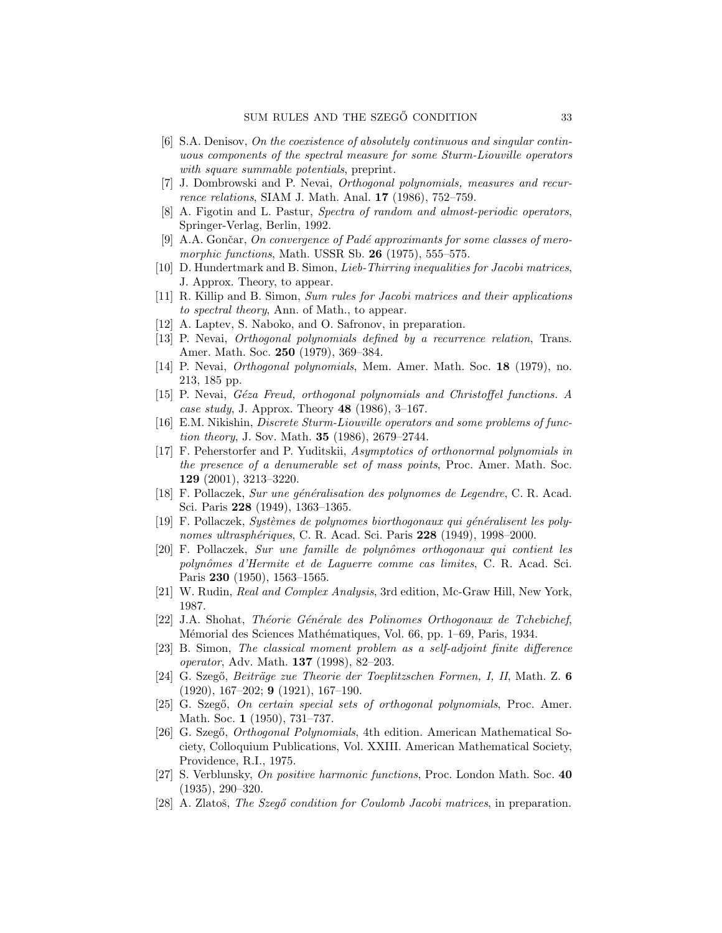- [6] S.A. Denisov, On the coexistence of absolutely continuous and singular continuous components of the spectral measure for some Sturm-Liouville operators with square summable potentials, preprint.
- [7] J. Dombrowski and P. Nevai, Orthogonal polynomials, measures and recurrence relations, SIAM J. Math. Anal. 17 (1986), 752–759.
- [8] A. Figotin and L. Pastur, Spectra of random and almost-periodic operators, Springer-Verlag, Berlin, 1992.
- [9] A.A. Gončar, On convergence of Padé approximants for some classes of meromorphic functions, Math. USSR Sb.  $26$  (1975), 555–575.
- [10] D. Hundertmark and B. Simon, Lieb-Thirring inequalities for Jacobi matrices, J. Approx. Theory, to appear.
- [11] R. Killip and B. Simon, Sum rules for Jacobi matrices and their applications to spectral theory, Ann. of Math., to appear.
- [12] A. Laptev, S. Naboko, and O. Safronov, in preparation.
- [13] P. Nevai, Orthogonal polynomials defined by a recurrence relation, Trans. Amer. Math. Soc. 250 (1979), 369–384.
- [14] P. Nevai, Orthogonal polynomials, Mem. Amer. Math. Soc. 18 (1979), no. 213, 185 pp.
- [15] P. Nevai, *Géza Freud, orthogonal polynomials and Christoffel functions. A* case study, J. Approx. Theory  $48$  (1986), 3-167.
- [16] E.M. Nikishin, Discrete Sturm-Liouville operators and some problems of function theory, J. Sov. Math. 35 (1986), 2679–2744.
- [17] F. Peherstorfer and P. Yuditskii, Asymptotics of orthonormal polynomials in the presence of a denumerable set of mass points, Proc. Amer. Math. Soc. 129 (2001), 3213–3220.
- [18] F. Pollaczek, Sur une généralisation des polynomes de Legendre, C. R. Acad. Sci. Paris 228 (1949), 1363–1365.
- $[19]$  F. Pollaczek, Systèmes de polynomes biorthogonaux qui généralisent les polynomes ultrasphériques, C. R. Acad. Sci. Paris 228 (1949), 1998–2000.
- [20] F. Pollaczek, Sur une famille de polynômes orthogonaux qui contient les polynômes d'Hermite et de Laguerre comme cas limites, C. R. Acad. Sci. Paris 230 (1950), 1563–1565.
- [21] W. Rudin, Real and Complex Analysis, 3rd edition, Mc-Graw Hill, New York, 1987.
- [22] J.A. Shohat, Théorie Générale des Polinomes Orthogonaux de Tchebichef, Mémorial des Sciences Mathématiques, Vol. 66, pp. 1–69, Paris, 1934.
- [23] B. Simon, The classical moment problem as a self-adjoint finite difference operator, Adv. Math. 137 (1998), 82–203.
- [24] G. Szegő, Beiträge zue Theorie der Toeplitzschen Formen, I, II, Math. Z. 6 (1920), 167–202; 9 (1921), 167–190.
- [25] G. Szegő, On certain special sets of orthogonal polynomials, Proc. Amer. Math. Soc. 1 (1950), 731–737.
- [26] G. Szegő, *Orthogonal Polynomials*, 4th edition. American Mathematical Society, Colloquium Publications, Vol. XXIII. American Mathematical Society, Providence, R.I., 1975.
- [27] S. Verblunsky, On positive harmonic functions, Proc. London Math. Soc. 40 (1935), 290–320.
- [28] A. Zlatoš, The Szegő condition for Coulomb Jacobi matrices, in preparation.